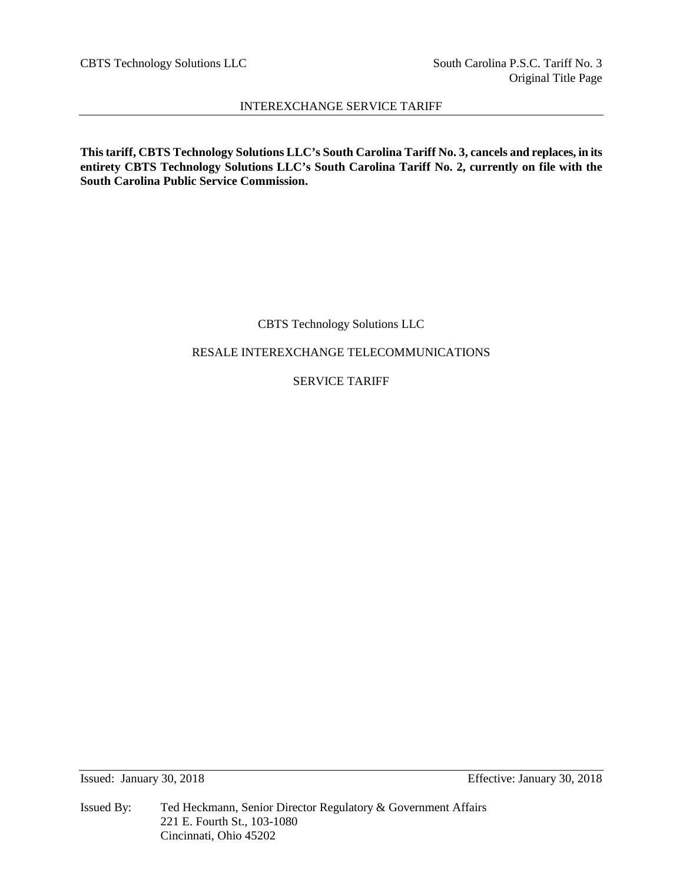CBTS Technology Solutions LLC South Carolina P.S.C. Tariff No. 3

# INTEREXCHANGE SERVICE TARIFF

**This tariff, CBTS Technology Solutions LLC's South Carolina Tariff No. 3, cancels and replaces, in its entirety CBTS Technology Solutions LLC's South Carolina Tariff No. 2, currently on file with the South Carolina Public Service Commission.**

CBTS Technology Solutions LLC

RESALE INTEREXCHANGE TELECOMMUNICATIONS

SERVICE TARIFF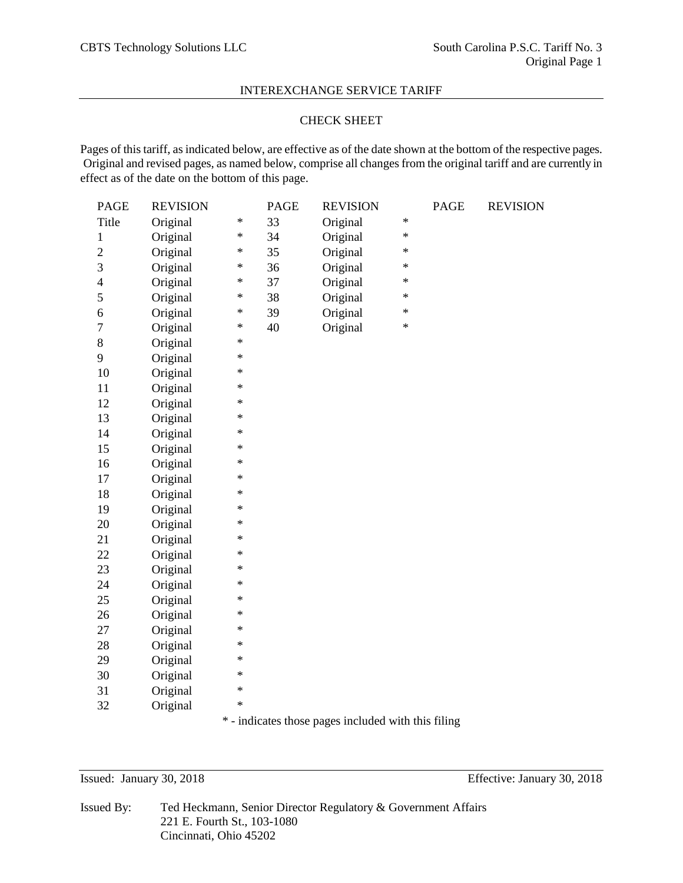## CHECK SHEET

Pages of this tariff, as indicated below, are effective as of the date shown at the bottom of the respective pages. Original and revised pages, as named below, comprise all changes from the original tariff and are currently in effect as of the date on the bottom of this page.

| <b>PAGE</b>    | <b>REVISION</b> |        | <b>PAGE</b> | <b>REVISION</b> |        | <b>PAGE</b> | <b>REVISION</b> |
|----------------|-----------------|--------|-------------|-----------------|--------|-------------|-----------------|
| Title          | Original        | $\ast$ | 33          | Original        | $\ast$ |             |                 |
| $\mathbf{1}$   | Original        | $\ast$ | 34          | Original        | $\ast$ |             |                 |
| $\overline{2}$ | Original        | $\ast$ | 35          | Original        | $\ast$ |             |                 |
| 3              | Original        | $\ast$ | 36          | Original        | $\ast$ |             |                 |
| $\overline{4}$ | Original        | $\ast$ | 37          | Original        | $\ast$ |             |                 |
| 5              | Original        | $\ast$ | 38          | Original        | $\ast$ |             |                 |
| 6              | Original        | $\ast$ | 39          | Original        | $\ast$ |             |                 |
| $\tau$         | Original        | $\ast$ | 40          | Original        | $\ast$ |             |                 |
| $8\,$          | Original        | $\ast$ |             |                 |        |             |                 |
| 9              | Original        | $\ast$ |             |                 |        |             |                 |
| 10             | Original        | $\ast$ |             |                 |        |             |                 |
| 11             | Original        | $\ast$ |             |                 |        |             |                 |
| 12             | Original        | $\ast$ |             |                 |        |             |                 |
| 13             | Original        | $\ast$ |             |                 |        |             |                 |
| 14             | Original        | $\ast$ |             |                 |        |             |                 |
| 15             | Original        | $\ast$ |             |                 |        |             |                 |
| 16             | Original        | $\ast$ |             |                 |        |             |                 |
| 17             | Original        | $\ast$ |             |                 |        |             |                 |
| 18             | Original        | $\ast$ |             |                 |        |             |                 |
| 19             | Original        | $\ast$ |             |                 |        |             |                 |
| 20             | Original        | $\ast$ |             |                 |        |             |                 |
| 21             | Original        | $\ast$ |             |                 |        |             |                 |
| 22             | Original        | $\ast$ |             |                 |        |             |                 |
| 23             | Original        | $\ast$ |             |                 |        |             |                 |
| 24             | Original        | $\ast$ |             |                 |        |             |                 |
| 25             | Original        | $\ast$ |             |                 |        |             |                 |
| 26             | Original        | $\ast$ |             |                 |        |             |                 |
| 27             | Original        | $\ast$ |             |                 |        |             |                 |
| 28             | Original        | $\ast$ |             |                 |        |             |                 |
| 29             | Original        | $\ast$ |             |                 |        |             |                 |
| 30             | Original        | $\ast$ |             |                 |        |             |                 |
| 31             | Original        | $\ast$ |             |                 |        |             |                 |
| 32             | Original        | $\ast$ |             |                 |        |             |                 |
|                |                 |        |             |                 |        |             |                 |

\* - indicates those pages included with this filing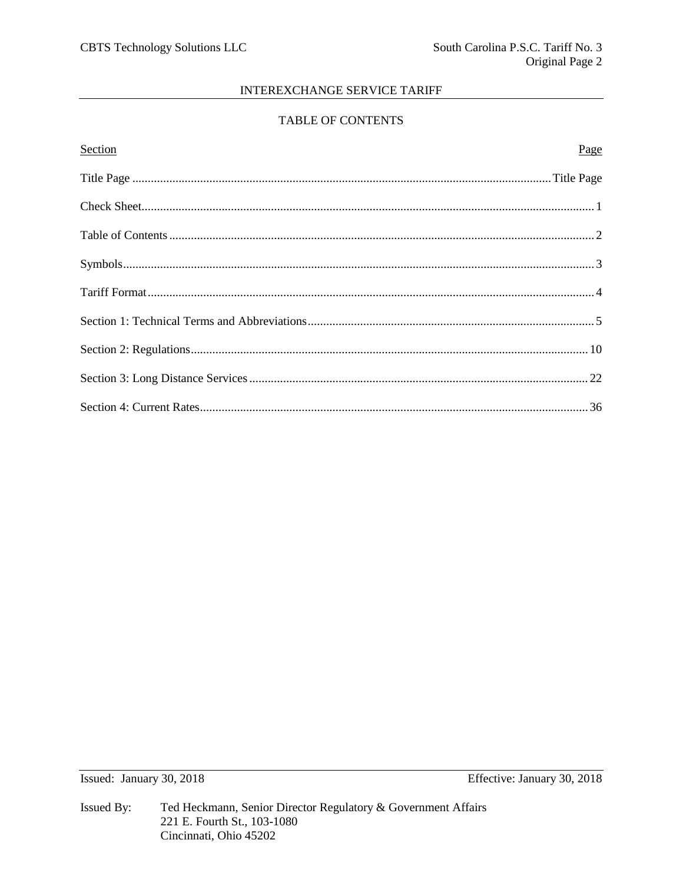# TABLE OF CONTENTS

| <b>Section</b> | Page |
|----------------|------|
|                |      |
|                |      |
|                |      |
|                |      |
|                |      |
|                |      |
|                |      |
|                |      |
|                |      |

Issued: January 30, 2018

Effective: January 30, 2018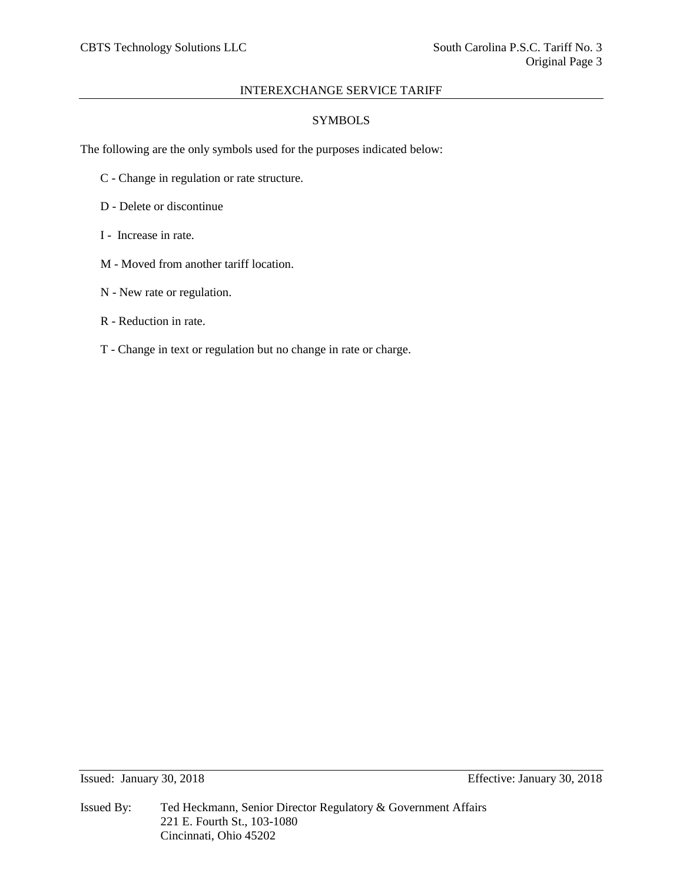# **SYMBOLS**

The following are the only symbols used for the purposes indicated below:

- C Change in regulation or rate structure.
- D Delete or discontinue
- I Increase in rate.
- M Moved from another tariff location.
- N New rate or regulation.
- R Reduction in rate.
- T Change in text or regulation but no change in rate or charge.

Issued By: Ted Heckmann, Senior Director Regulatory & Government Affairs 221 E. Fourth St., 103-1080 Cincinnati, Ohio 45202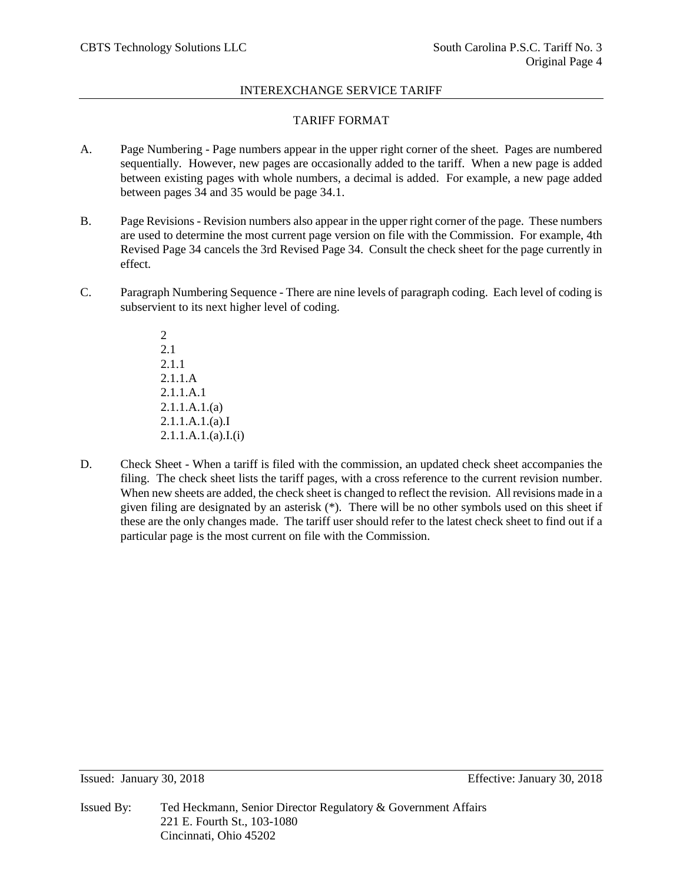# TARIFF FORMAT

- A. Page Numbering Page numbers appear in the upper right corner of the sheet. Pages are numbered sequentially. However, new pages are occasionally added to the tariff. When a new page is added between existing pages with whole numbers, a decimal is added. For example, a new page added between pages 34 and 35 would be page 34.1.
- B. Page Revisions Revision numbers also appear in the upper right corner of the page. These numbers are used to determine the most current page version on file with the Commission. For example, 4th Revised Page 34 cancels the 3rd Revised Page 34. Consult the check sheet for the page currently in effect.
- C. Paragraph Numbering Sequence There are nine levels of paragraph coding. Each level of coding is subservient to its next higher level of coding.

2 2.1 2.1.1 2.1.1.A 2.1.1.A.1 2.1.1.A.1.(a) 2.1.1.A.1.(a).I 2.1.1.A.1.(a).I.(i)

D. Check Sheet - When a tariff is filed with the commission, an updated check sheet accompanies the filing. The check sheet lists the tariff pages, with a cross reference to the current revision number. When new sheets are added, the check sheet is changed to reflect the revision. All revisions made in a given filing are designated by an asterisk (\*). There will be no other symbols used on this sheet if these are the only changes made. The tariff user should refer to the latest check sheet to find out if a particular page is the most current on file with the Commission.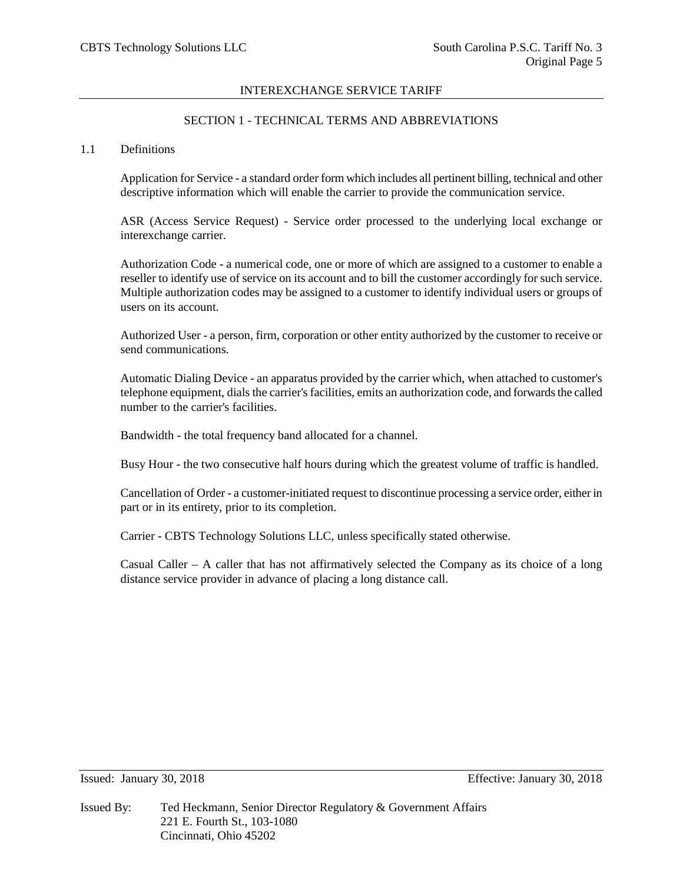# SECTION 1 - TECHNICAL TERMS AND ABBREVIATIONS

## 1.1 Definitions

Application for Service - a standard order form which includes all pertinent billing, technical and other descriptive information which will enable the carrier to provide the communication service.

ASR (Access Service Request) - Service order processed to the underlying local exchange or interexchange carrier.

Authorization Code - a numerical code, one or more of which are assigned to a customer to enable a reseller to identify use of service on its account and to bill the customer accordingly for such service. Multiple authorization codes may be assigned to a customer to identify individual users or groups of users on its account.

Authorized User - a person, firm, corporation or other entity authorized by the customer to receive or send communications.

Automatic Dialing Device - an apparatus provided by the carrier which, when attached to customer's telephone equipment, dials the carrier's facilities, emits an authorization code, and forwards the called number to the carrier's facilities.

Bandwidth - the total frequency band allocated for a channel.

Busy Hour - the two consecutive half hours during which the greatest volume of traffic is handled.

Cancellation of Order - a customer-initiated request to discontinue processing a service order, either in part or in its entirety, prior to its completion.

Carrier - CBTS Technology Solutions LLC, unless specifically stated otherwise.

Casual Caller – A caller that has not affirmatively selected the Company as its choice of a long distance service provider in advance of placing a long distance call.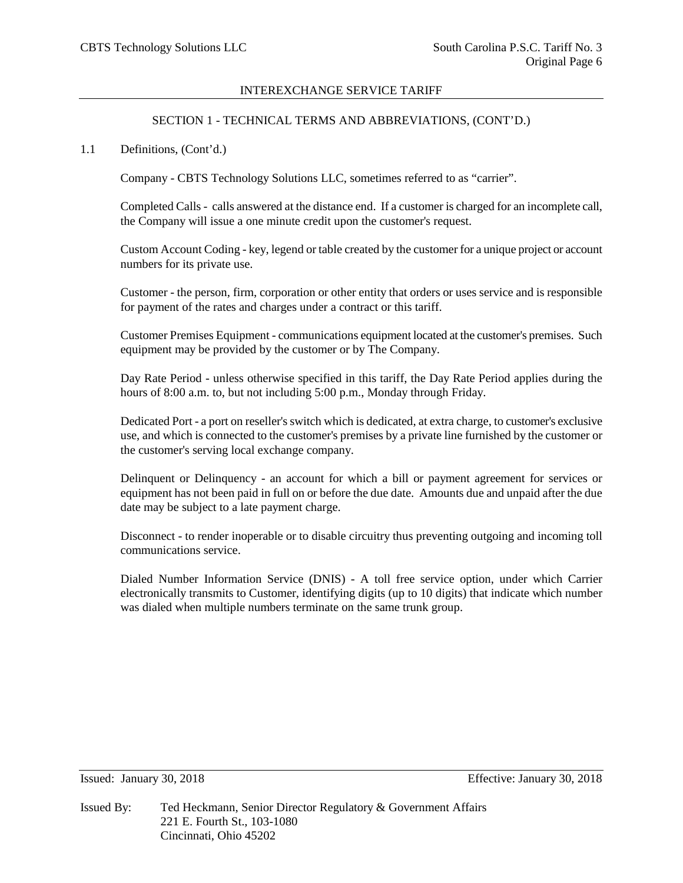## SECTION 1 - TECHNICAL TERMS AND ABBREVIATIONS, (CONT'D.)

## 1.1 Definitions, (Cont'd.)

Company - CBTS Technology Solutions LLC, sometimes referred to as "carrier".

Completed Calls - calls answered at the distance end. If a customer is charged for an incomplete call, the Company will issue a one minute credit upon the customer's request.

Custom Account Coding - key, legend or table created by the customer for a unique project or account numbers for its private use.

Customer - the person, firm, corporation or other entity that orders or uses service and is responsible for payment of the rates and charges under a contract or this tariff.

Customer Premises Equipment - communications equipment located at the customer's premises. Such equipment may be provided by the customer or by The Company.

Day Rate Period - unless otherwise specified in this tariff, the Day Rate Period applies during the hours of 8:00 a.m. to, but not including 5:00 p.m., Monday through Friday.

Dedicated Port - a port on reseller's switch which is dedicated, at extra charge, to customer's exclusive use, and which is connected to the customer's premises by a private line furnished by the customer or the customer's serving local exchange company.

Delinquent or Delinquency - an account for which a bill or payment agreement for services or equipment has not been paid in full on or before the due date. Amounts due and unpaid after the due date may be subject to a late payment charge.

Disconnect - to render inoperable or to disable circuitry thus preventing outgoing and incoming toll communications service.

Dialed Number Information Service (DNIS) - A toll free service option, under which Carrier electronically transmits to Customer, identifying digits (up to 10 digits) that indicate which number was dialed when multiple numbers terminate on the same trunk group.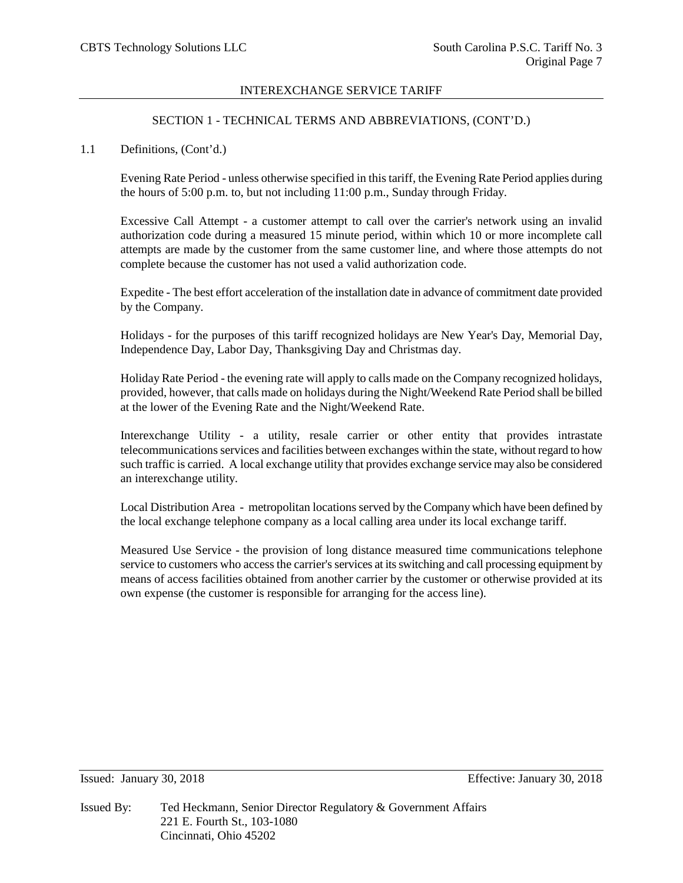## SECTION 1 - TECHNICAL TERMS AND ABBREVIATIONS, (CONT'D.)

## 1.1 Definitions, (Cont'd.)

Evening Rate Period - unless otherwise specified in this tariff, the Evening Rate Period applies during the hours of 5:00 p.m. to, but not including 11:00 p.m., Sunday through Friday.

Excessive Call Attempt - a customer attempt to call over the carrier's network using an invalid authorization code during a measured 15 minute period, within which 10 or more incomplete call attempts are made by the customer from the same customer line, and where those attempts do not complete because the customer has not used a valid authorization code.

Expedite - The best effort acceleration of the installation date in advance of commitment date provided by the Company.

Holidays - for the purposes of this tariff recognized holidays are New Year's Day, Memorial Day, Independence Day, Labor Day, Thanksgiving Day and Christmas day.

Holiday Rate Period - the evening rate will apply to calls made on the Company recognized holidays, provided, however, that calls made on holidays during the Night/Weekend Rate Period shall be billed at the lower of the Evening Rate and the Night/Weekend Rate.

Interexchange Utility - a utility, resale carrier or other entity that provides intrastate telecommunications services and facilities between exchanges within the state, without regard to how such traffic is carried. A local exchange utility that provides exchange service may also be considered an interexchange utility.

Local Distribution Area - metropolitan locations served by the Company which have been defined by the local exchange telephone company as a local calling area under its local exchange tariff.

Measured Use Service - the provision of long distance measured time communications telephone service to customers who access the carrier's services at its switching and call processing equipment by means of access facilities obtained from another carrier by the customer or otherwise provided at its own expense (the customer is responsible for arranging for the access line).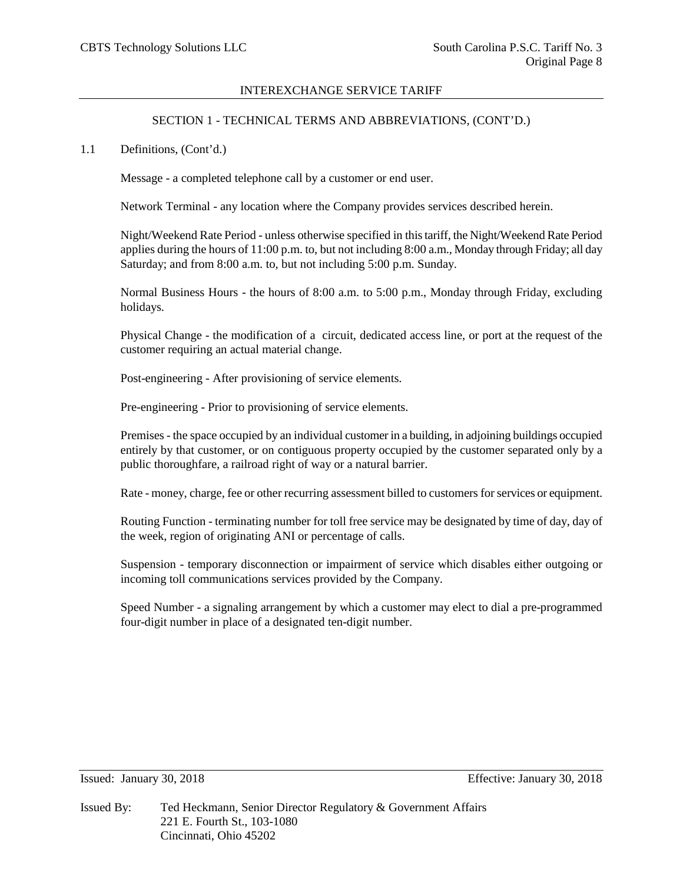## SECTION 1 - TECHNICAL TERMS AND ABBREVIATIONS, (CONT'D.)

1.1 Definitions, (Cont'd.)

Message - a completed telephone call by a customer or end user.

Network Terminal - any location where the Company provides services described herein.

Night/Weekend Rate Period - unless otherwise specified in this tariff, the Night/Weekend Rate Period applies during the hours of 11:00 p.m. to, but not including 8:00 a.m., Monday through Friday; all day Saturday; and from 8:00 a.m. to, but not including 5:00 p.m. Sunday.

Normal Business Hours - the hours of 8:00 a.m. to 5:00 p.m., Monday through Friday, excluding holidays.

Physical Change - the modification of a circuit, dedicated access line, or port at the request of the customer requiring an actual material change.

Post-engineering - After provisioning of service elements.

Pre-engineering - Prior to provisioning of service elements.

Premises - the space occupied by an individual customer in a building, in adjoining buildings occupied entirely by that customer, or on contiguous property occupied by the customer separated only by a public thoroughfare, a railroad right of way or a natural barrier.

Rate - money, charge, fee or other recurring assessment billed to customers for services or equipment.

Routing Function - terminating number for toll free service may be designated by time of day, day of the week, region of originating ANI or percentage of calls.

Suspension - temporary disconnection or impairment of service which disables either outgoing or incoming toll communications services provided by the Company.

Speed Number - a signaling arrangement by which a customer may elect to dial a pre-programmed four-digit number in place of a designated ten-digit number.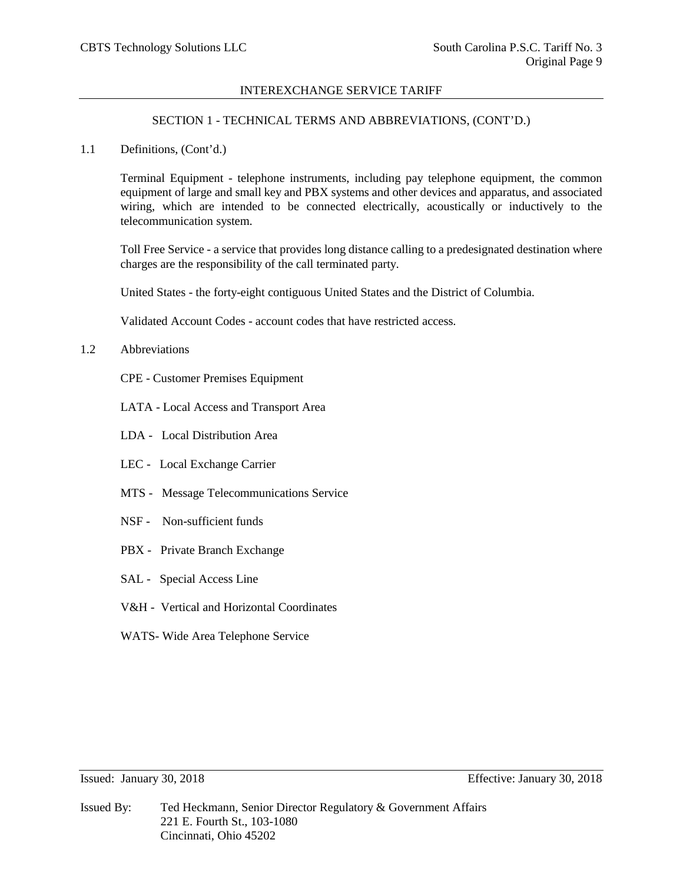## SECTION 1 - TECHNICAL TERMS AND ABBREVIATIONS, (CONT'D.)

1.1 Definitions, (Cont'd.)

Terminal Equipment - telephone instruments, including pay telephone equipment, the common equipment of large and small key and PBX systems and other devices and apparatus, and associated wiring, which are intended to be connected electrically, acoustically or inductively to the telecommunication system.

Toll Free Service - a service that provides long distance calling to a predesignated destination where charges are the responsibility of the call terminated party.

United States - the forty-eight contiguous United States and the District of Columbia.

Validated Account Codes - account codes that have restricted access.

- 1.2 Abbreviations
	- CPE Customer Premises Equipment
	- LATA Local Access and Transport Area
	- LDA Local Distribution Area
	- LEC Local Exchange Carrier
	- MTS Message Telecommunications Service
	- NSF Non-sufficient funds
	- PBX Private Branch Exchange
	- SAL Special Access Line
	- V&H Vertical and Horizontal Coordinates
	- WATS- Wide Area Telephone Service

Issued: January 30, 2018 Effective: January 30, 2018

Issued By: Ted Heckmann, Senior Director Regulatory & Government Affairs 221 E. Fourth St., 103-1080 Cincinnati, Ohio 45202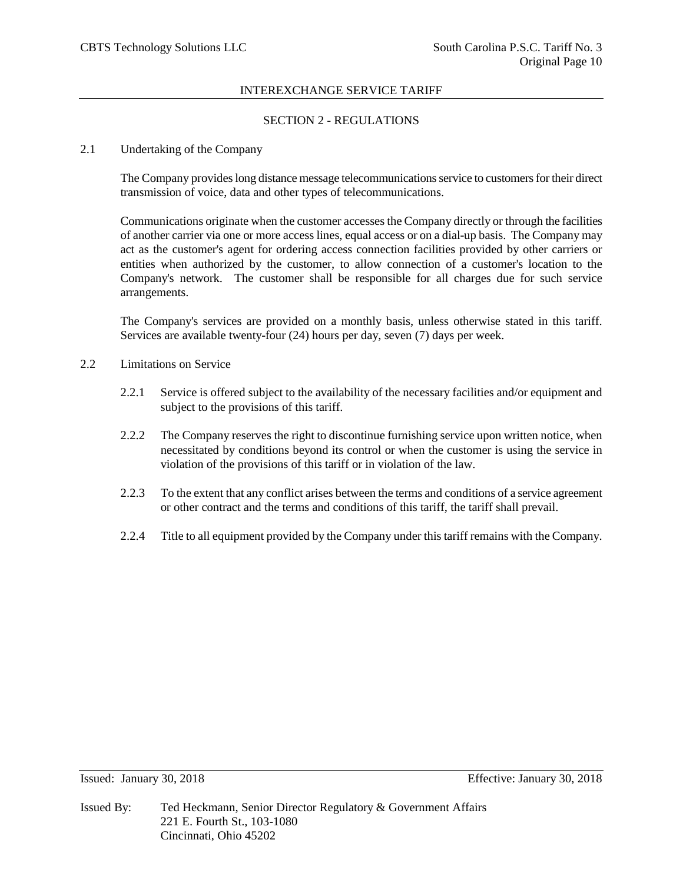# SECTION 2 - REGULATIONS

## 2.1 Undertaking of the Company

The Company provides long distance message telecommunications service to customers for their direct transmission of voice, data and other types of telecommunications.

Communications originate when the customer accesses the Company directly or through the facilities of another carrier via one or more access lines, equal access or on a dial-up basis. The Company may act as the customer's agent for ordering access connection facilities provided by other carriers or entities when authorized by the customer, to allow connection of a customer's location to the Company's network. The customer shall be responsible for all charges due for such service arrangements.

The Company's services are provided on a monthly basis, unless otherwise stated in this tariff. Services are available twenty-four (24) hours per day, seven (7) days per week.

- 2.2 Limitations on Service
	- 2.2.1 Service is offered subject to the availability of the necessary facilities and/or equipment and subject to the provisions of this tariff.
	- 2.2.2 The Company reserves the right to discontinue furnishing service upon written notice, when necessitated by conditions beyond its control or when the customer is using the service in violation of the provisions of this tariff or in violation of the law.
	- 2.2.3 To the extent that any conflict arises between the terms and conditions of a service agreement or other contract and the terms and conditions of this tariff, the tariff shall prevail.
	- 2.2.4 Title to all equipment provided by the Company under this tariff remains with the Company.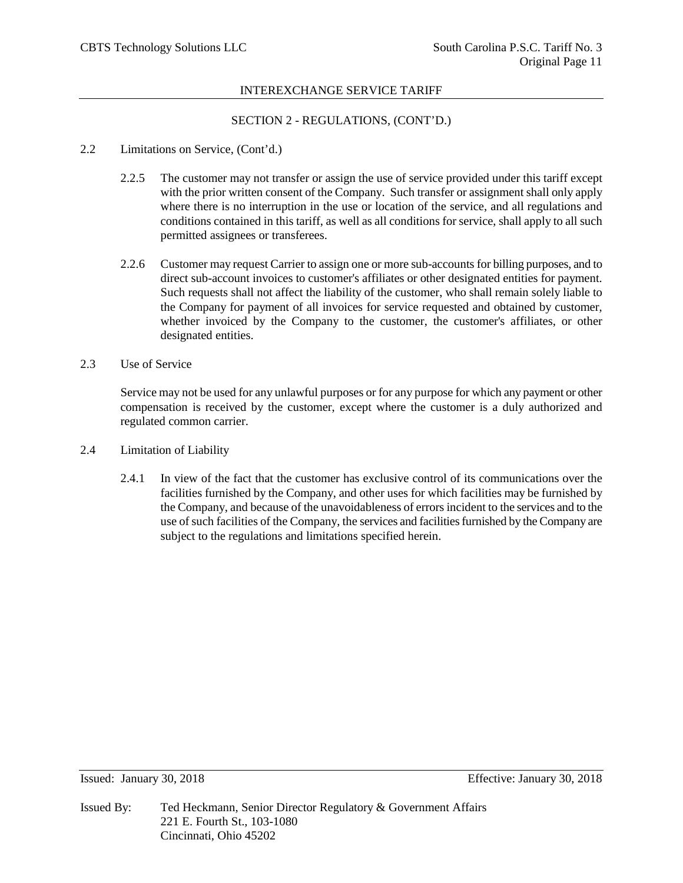# SECTION 2 - REGULATIONS, (CONT'D.)

## 2.2 Limitations on Service, (Cont'd.)

- 2.2.5 The customer may not transfer or assign the use of service provided under this tariff except with the prior written consent of the Company. Such transfer or assignment shall only apply where there is no interruption in the use or location of the service, and all regulations and conditions contained in this tariff, as well as all conditions for service, shall apply to all such permitted assignees or transferees.
- 2.2.6 Customer may request Carrier to assign one or more sub-accounts for billing purposes, and to direct sub-account invoices to customer's affiliates or other designated entities for payment. Such requests shall not affect the liability of the customer, who shall remain solely liable to the Company for payment of all invoices for service requested and obtained by customer, whether invoiced by the Company to the customer, the customer's affiliates, or other designated entities.
- 2.3 Use of Service

Service may not be used for any unlawful purposes or for any purpose for which any payment or other compensation is received by the customer, except where the customer is a duly authorized and regulated common carrier.

- 2.4 Limitation of Liability
	- 2.4.1 In view of the fact that the customer has exclusive control of its communications over the facilities furnished by the Company, and other uses for which facilities may be furnished by the Company, and because of the unavoidableness of errors incident to the services and to the use of such facilities of the Company, the services and facilities furnished by the Company are subject to the regulations and limitations specified herein.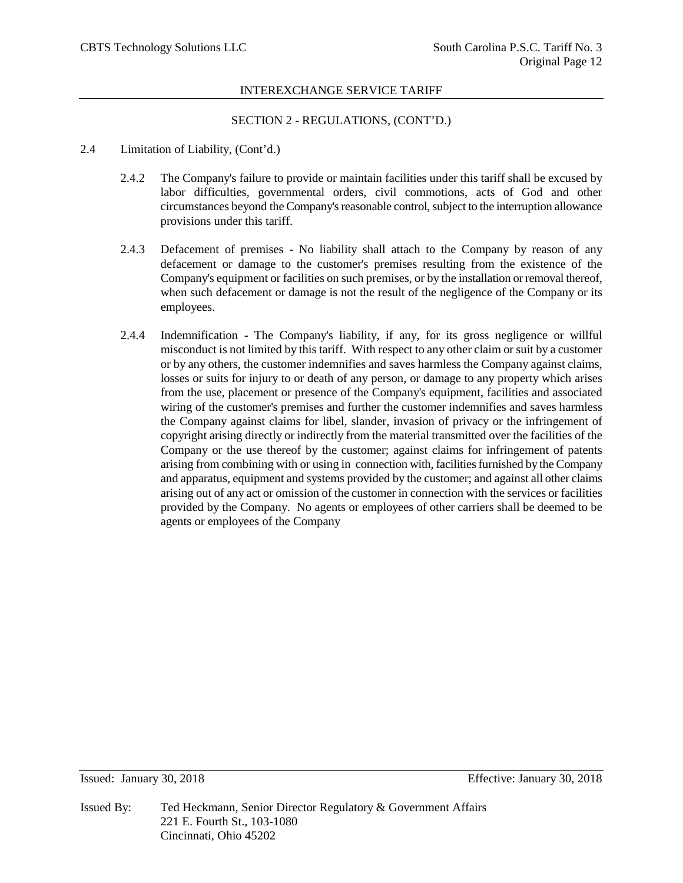# SECTION 2 - REGULATIONS, (CONT'D.)

- 2.4 Limitation of Liability, (Cont'd.)
	- 2.4.2 The Company's failure to provide or maintain facilities under this tariff shall be excused by labor difficulties, governmental orders, civil commotions, acts of God and other circumstances beyond the Company's reasonable control, subject to the interruption allowance provisions under this tariff.
	- 2.4.3 Defacement of premises No liability shall attach to the Company by reason of any defacement or damage to the customer's premises resulting from the existence of the Company's equipment or facilities on such premises, or by the installation or removal thereof, when such defacement or damage is not the result of the negligence of the Company or its employees.
	- 2.4.4 Indemnification The Company's liability, if any, for its gross negligence or willful misconduct is not limited by this tariff. With respect to any other claim or suit by a customer or by any others, the customer indemnifies and saves harmless the Company against claims, losses or suits for injury to or death of any person, or damage to any property which arises from the use, placement or presence of the Company's equipment, facilities and associated wiring of the customer's premises and further the customer indemnifies and saves harmless the Company against claims for libel, slander, invasion of privacy or the infringement of copyright arising directly or indirectly from the material transmitted over the facilities of the Company or the use thereof by the customer; against claims for infringement of patents arising from combining with or using in connection with, facilities furnished by the Company and apparatus, equipment and systems provided by the customer; and against all other claims arising out of any act or omission of the customer in connection with the services or facilities provided by the Company. No agents or employees of other carriers shall be deemed to be agents or employees of the Company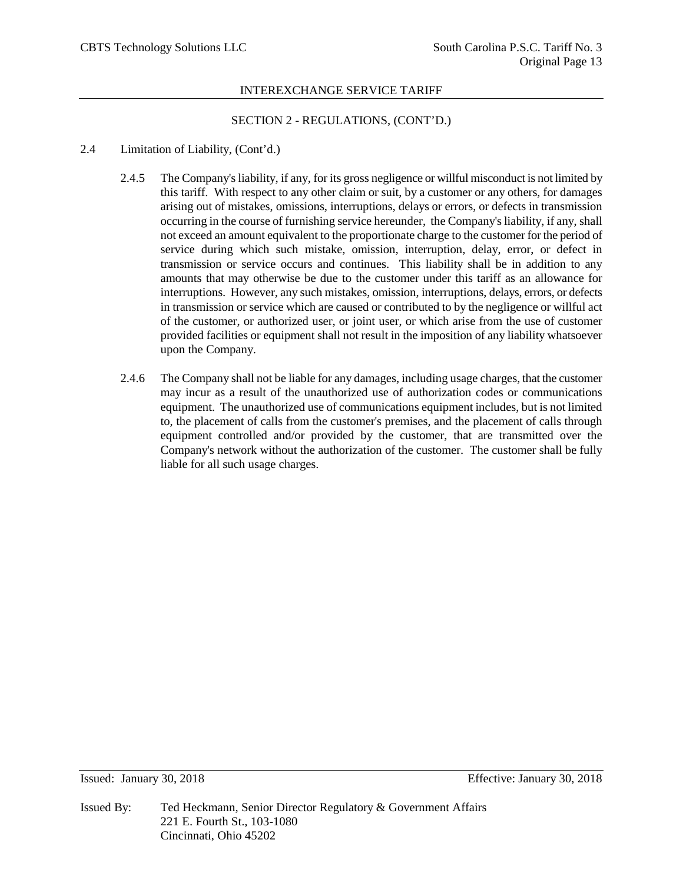# SECTION 2 - REGULATIONS, (CONT'D.)

## 2.4 Limitation of Liability, (Cont'd.)

- 2.4.5 The Company's liability, if any, for its gross negligence or willful misconduct is not limited by this tariff. With respect to any other claim or suit, by a customer or any others, for damages arising out of mistakes, omissions, interruptions, delays or errors, or defects in transmission occurring in the course of furnishing service hereunder, the Company's liability, if any, shall not exceed an amount equivalent to the proportionate charge to the customer for the period of service during which such mistake, omission, interruption, delay, error, or defect in transmission or service occurs and continues. This liability shall be in addition to any amounts that may otherwise be due to the customer under this tariff as an allowance for interruptions. However, any such mistakes, omission, interruptions, delays, errors, or defects in transmission or service which are caused or contributed to by the negligence or willful act of the customer, or authorized user, or joint user, or which arise from the use of customer provided facilities or equipment shall not result in the imposition of any liability whatsoever upon the Company.
- 2.4.6 The Company shall not be liable for any damages, including usage charges, that the customer may incur as a result of the unauthorized use of authorization codes or communications equipment. The unauthorized use of communications equipment includes, but is not limited to, the placement of calls from the customer's premises, and the placement of calls through equipment controlled and/or provided by the customer, that are transmitted over the Company's network without the authorization of the customer. The customer shall be fully liable for all such usage charges.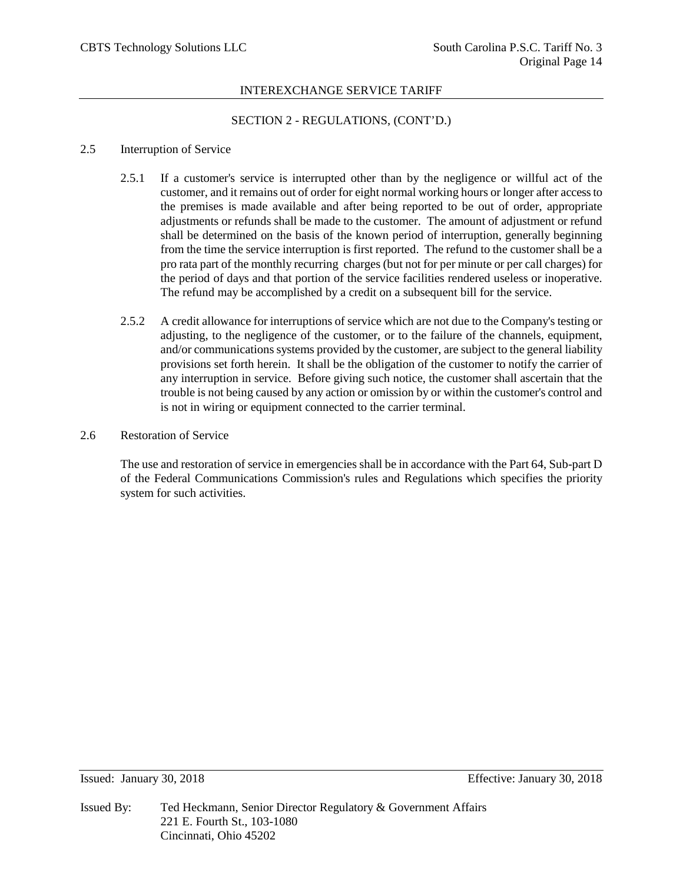# SECTION 2 - REGULATIONS, (CONT'D.)

## 2.5 Interruption of Service

- 2.5.1 If a customer's service is interrupted other than by the negligence or willful act of the customer, and it remains out of order for eight normal working hours or longer after access to the premises is made available and after being reported to be out of order, appropriate adjustments or refunds shall be made to the customer. The amount of adjustment or refund shall be determined on the basis of the known period of interruption, generally beginning from the time the service interruption is first reported. The refund to the customer shall be a pro rata part of the monthly recurring charges (but not for per minute or per call charges) for the period of days and that portion of the service facilities rendered useless or inoperative. The refund may be accomplished by a credit on a subsequent bill for the service.
- 2.5.2 A credit allowance for interruptions of service which are not due to the Company's testing or adjusting, to the negligence of the customer, or to the failure of the channels, equipment, and/or communications systems provided by the customer, are subject to the general liability provisions set forth herein. It shall be the obligation of the customer to notify the carrier of any interruption in service. Before giving such notice, the customer shall ascertain that the trouble is not being caused by any action or omission by or within the customer's control and is not in wiring or equipment connected to the carrier terminal.
- 2.6 Restoration of Service

The use and restoration of service in emergencies shall be in accordance with the Part 64, Sub-part D of the Federal Communications Commission's rules and Regulations which specifies the priority system for such activities.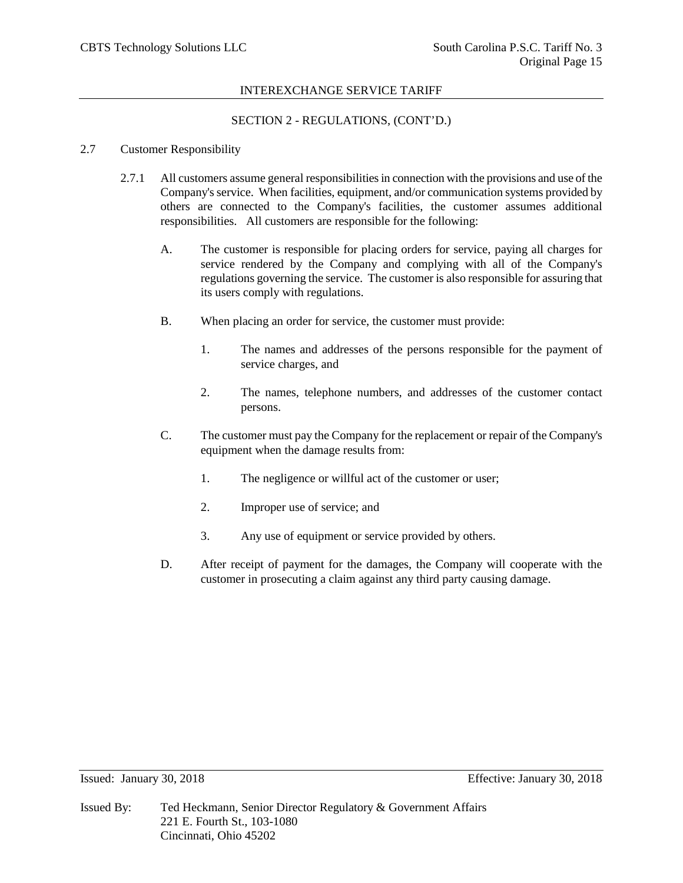# SECTION 2 - REGULATIONS, (CONT'D.)

# 2.7 Customer Responsibility

- 2.7.1 All customers assume general responsibilities in connection with the provisions and use of the Company's service. When facilities, equipment, and/or communication systems provided by others are connected to the Company's facilities, the customer assumes additional responsibilities. All customers are responsible for the following:
	- A. The customer is responsible for placing orders for service, paying all charges for service rendered by the Company and complying with all of the Company's regulations governing the service. The customer is also responsible for assuring that its users comply with regulations.
	- B. When placing an order for service, the customer must provide:
		- 1. The names and addresses of the persons responsible for the payment of service charges, and
		- 2. The names, telephone numbers, and addresses of the customer contact persons.
	- C. The customer must pay the Company for the replacement or repair of the Company's equipment when the damage results from:
		- 1. The negligence or willful act of the customer or user;
		- 2. Improper use of service; and
		- 3. Any use of equipment or service provided by others.
	- D. After receipt of payment for the damages, the Company will cooperate with the customer in prosecuting a claim against any third party causing damage.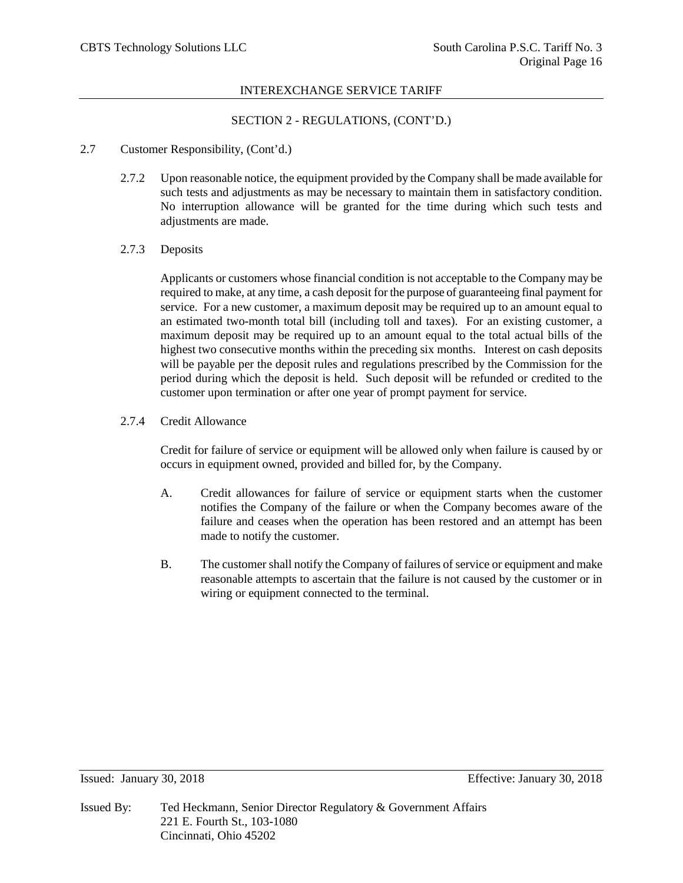# SECTION 2 - REGULATIONS, (CONT'D.)

## 2.7 Customer Responsibility, (Cont'd.)

2.7.2 Upon reasonable notice, the equipment provided by the Company shall be made available for such tests and adjustments as may be necessary to maintain them in satisfactory condition. No interruption allowance will be granted for the time during which such tests and adjustments are made.

## 2.7.3 Deposits

Applicants or customers whose financial condition is not acceptable to the Company may be required to make, at any time, a cash deposit for the purpose of guaranteeing final payment for service. For a new customer, a maximum deposit may be required up to an amount equal to an estimated two-month total bill (including toll and taxes). For an existing customer, a maximum deposit may be required up to an amount equal to the total actual bills of the highest two consecutive months within the preceding six months. Interest on cash deposits will be payable per the deposit rules and regulations prescribed by the Commission for the period during which the deposit is held. Such deposit will be refunded or credited to the customer upon termination or after one year of prompt payment for service.

## 2.7.4 Credit Allowance

Credit for failure of service or equipment will be allowed only when failure is caused by or occurs in equipment owned, provided and billed for, by the Company.

- A. Credit allowances for failure of service or equipment starts when the customer notifies the Company of the failure or when the Company becomes aware of the failure and ceases when the operation has been restored and an attempt has been made to notify the customer.
- B. The customer shall notify the Company of failures of service or equipment and make reasonable attempts to ascertain that the failure is not caused by the customer or in wiring or equipment connected to the terminal.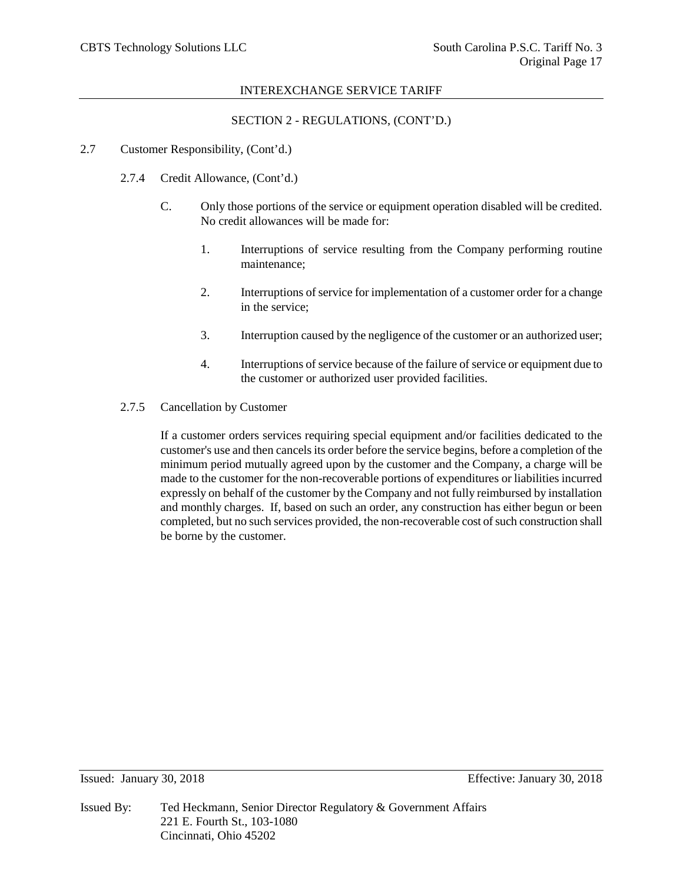# SECTION 2 - REGULATIONS, (CONT'D.)

## 2.7 Customer Responsibility, (Cont'd.)

- 2.7.4 Credit Allowance, (Cont'd.)
	- C. Only those portions of the service or equipment operation disabled will be credited. No credit allowances will be made for:
		- 1. Interruptions of service resulting from the Company performing routine maintenance;
		- 2. Interruptions of service for implementation of a customer order for a change in the service;
		- 3. Interruption caused by the negligence of the customer or an authorized user;
		- 4. Interruptions of service because of the failure of service or equipment due to the customer or authorized user provided facilities.
- 2.7.5 Cancellation by Customer

If a customer orders services requiring special equipment and/or facilities dedicated to the customer's use and then cancels its order before the service begins, before a completion of the minimum period mutually agreed upon by the customer and the Company, a charge will be made to the customer for the non-recoverable portions of expenditures or liabilities incurred expressly on behalf of the customer by the Company and not fully reimbursed by installation and monthly charges. If, based on such an order, any construction has either begun or been completed, but no such services provided, the non-recoverable cost of such construction shall be borne by the customer.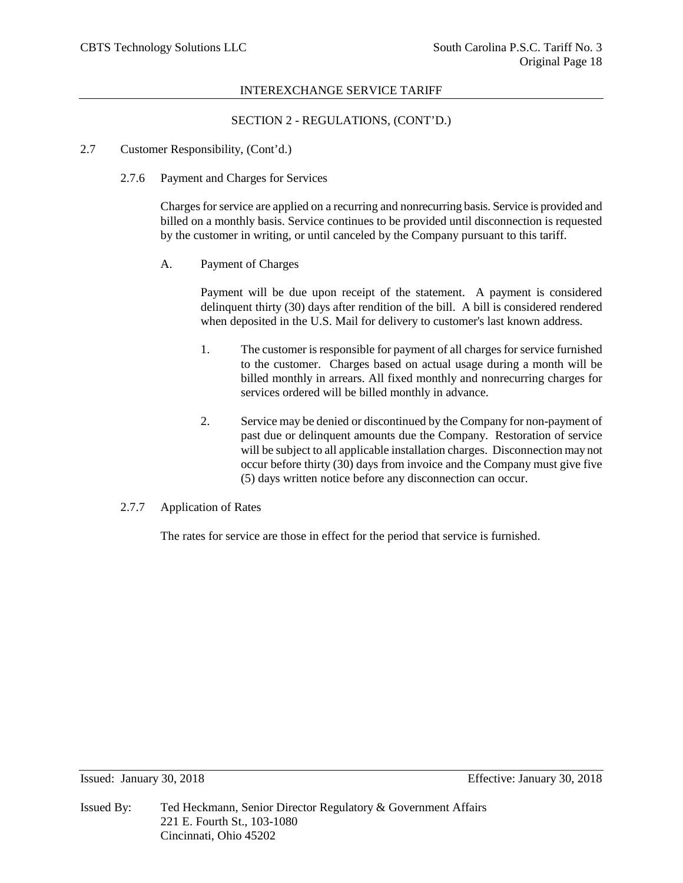# SECTION 2 - REGULATIONS, (CONT'D.)

## 2.7 Customer Responsibility, (Cont'd.)

2.7.6 Payment and Charges for Services

Charges for service are applied on a recurring and nonrecurring basis. Service is provided and billed on a monthly basis. Service continues to be provided until disconnection is requested by the customer in writing, or until canceled by the Company pursuant to this tariff.

A. Payment of Charges

Payment will be due upon receipt of the statement. A payment is considered delinquent thirty (30) days after rendition of the bill. A bill is considered rendered when deposited in the U.S. Mail for delivery to customer's last known address.

- 1. The customer is responsible for payment of all charges for service furnished to the customer. Charges based on actual usage during a month will be billed monthly in arrears. All fixed monthly and nonrecurring charges for services ordered will be billed monthly in advance.
- 2. Service may be denied or discontinued by the Company for non-payment of past due or delinquent amounts due the Company. Restoration of service will be subject to all applicable installation charges. Disconnection may not occur before thirty (30) days from invoice and the Company must give five (5) days written notice before any disconnection can occur.

# 2.7.7 Application of Rates

The rates for service are those in effect for the period that service is furnished.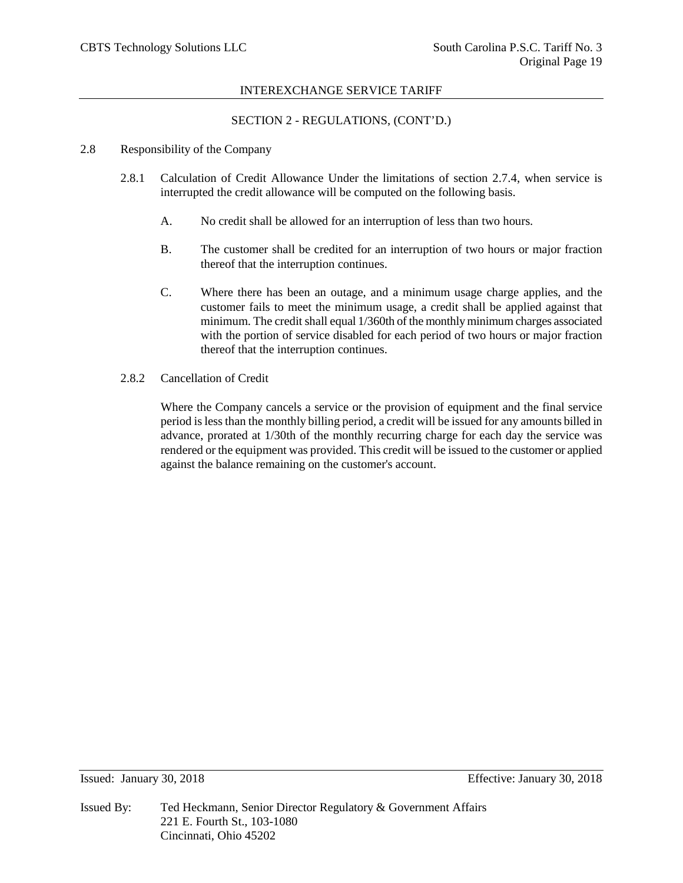# SECTION 2 - REGULATIONS, (CONT'D.)

## 2.8 Responsibility of the Company

- 2.8.1 Calculation of Credit Allowance Under the limitations of section 2.7.4, when service is interrupted the credit allowance will be computed on the following basis.
	- A. No credit shall be allowed for an interruption of less than two hours.
	- B. The customer shall be credited for an interruption of two hours or major fraction thereof that the interruption continues.
	- C. Where there has been an outage, and a minimum usage charge applies, and the customer fails to meet the minimum usage, a credit shall be applied against that minimum. The credit shall equal 1/360th of the monthly minimum charges associated with the portion of service disabled for each period of two hours or major fraction thereof that the interruption continues.
- 2.8.2 Cancellation of Credit

Where the Company cancels a service or the provision of equipment and the final service period is less than the monthly billing period, a credit will be issued for any amounts billed in advance, prorated at 1/30th of the monthly recurring charge for each day the service was rendered or the equipment was provided. This credit will be issued to the customer or applied against the balance remaining on the customer's account.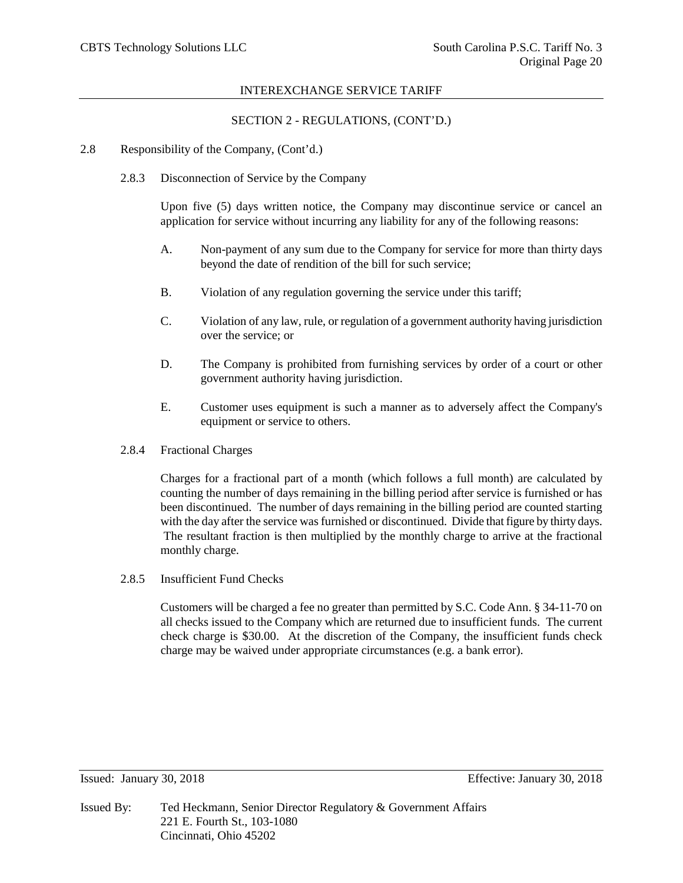# SECTION 2 - REGULATIONS, (CONT'D.)

- 2.8 Responsibility of the Company, (Cont'd.)
	- 2.8.3 Disconnection of Service by the Company

Upon five (5) days written notice, the Company may discontinue service or cancel an application for service without incurring any liability for any of the following reasons:

- A. Non-payment of any sum due to the Company for service for more than thirty days beyond the date of rendition of the bill for such service;
- B. Violation of any regulation governing the service under this tariff;
- C. Violation of any law, rule, or regulation of a government authority having jurisdiction over the service; or
- D. The Company is prohibited from furnishing services by order of a court or other government authority having jurisdiction.
- E. Customer uses equipment is such a manner as to adversely affect the Company's equipment or service to others.
- 2.8.4 Fractional Charges

Charges for a fractional part of a month (which follows a full month) are calculated by counting the number of days remaining in the billing period after service is furnished or has been discontinued. The number of days remaining in the billing period are counted starting with the day after the service was furnished or discontinued. Divide that figure by thirty days. The resultant fraction is then multiplied by the monthly charge to arrive at the fractional monthly charge.

2.8.5 Insufficient Fund Checks

Customers will be charged a fee no greater than permitted by S.C. Code Ann. § 34-11-70 on all checks issued to the Company which are returned due to insufficient funds. The current check charge is \$30.00. At the discretion of the Company, the insufficient funds check charge may be waived under appropriate circumstances (e.g. a bank error).

Issued: January 30, 2018 Effective: January 30, 2018

Issued By: Ted Heckmann, Senior Director Regulatory & Government Affairs 221 E. Fourth St., 103-1080 Cincinnati, Ohio 45202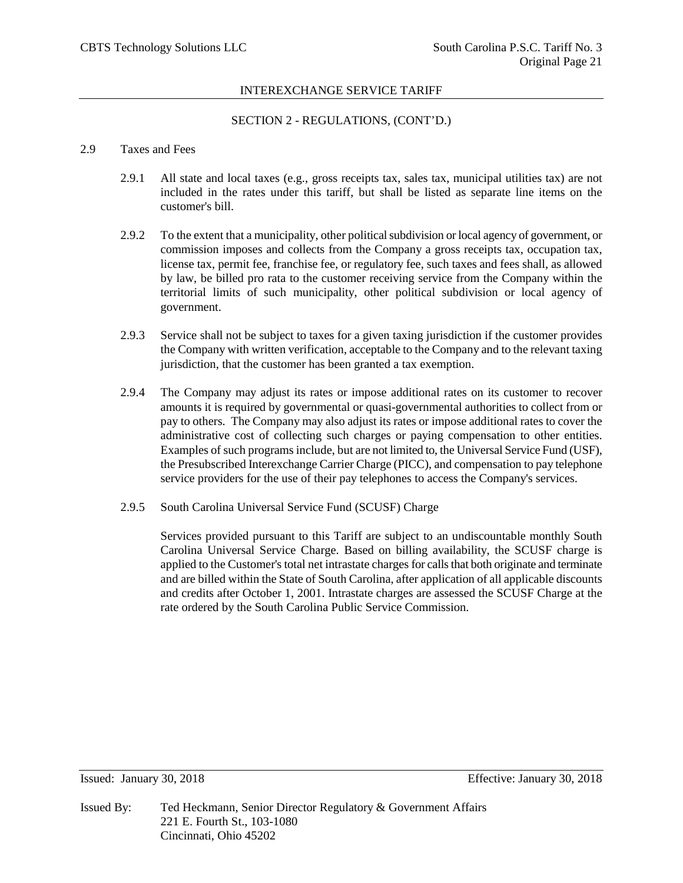# SECTION 2 - REGULATIONS, (CONT'D.)

## 2.9 Taxes and Fees

- 2.9.1 All state and local taxes (e.g., gross receipts tax, sales tax, municipal utilities tax) are not included in the rates under this tariff, but shall be listed as separate line items on the customer's bill.
- 2.9.2 To the extent that a municipality, other political subdivision or local agency of government, or commission imposes and collects from the Company a gross receipts tax, occupation tax, license tax, permit fee, franchise fee, or regulatory fee, such taxes and fees shall, as allowed by law, be billed pro rata to the customer receiving service from the Company within the territorial limits of such municipality, other political subdivision or local agency of government.
- 2.9.3 Service shall not be subject to taxes for a given taxing jurisdiction if the customer provides the Company with written verification, acceptable to the Company and to the relevant taxing jurisdiction, that the customer has been granted a tax exemption.
- 2.9.4 The Company may adjust its rates or impose additional rates on its customer to recover amounts it is required by governmental or quasi-governmental authorities to collect from or pay to others. The Company may also adjust its rates or impose additional rates to cover the administrative cost of collecting such charges or paying compensation to other entities. Examples of such programs include, but are not limited to, the Universal Service Fund (USF), the Presubscribed Interexchange Carrier Charge (PICC), and compensation to pay telephone service providers for the use of their pay telephones to access the Company's services.
- 2.9.5 South Carolina Universal Service Fund (SCUSF) Charge

Services provided pursuant to this Tariff are subject to an undiscountable monthly South Carolina Universal Service Charge. Based on billing availability, the SCUSF charge is applied to the Customer's total net intrastate charges for calls that both originate and terminate and are billed within the State of South Carolina, after application of all applicable discounts and credits after October 1, 2001. Intrastate charges are assessed the SCUSF Charge at the rate ordered by the South Carolina Public Service Commission.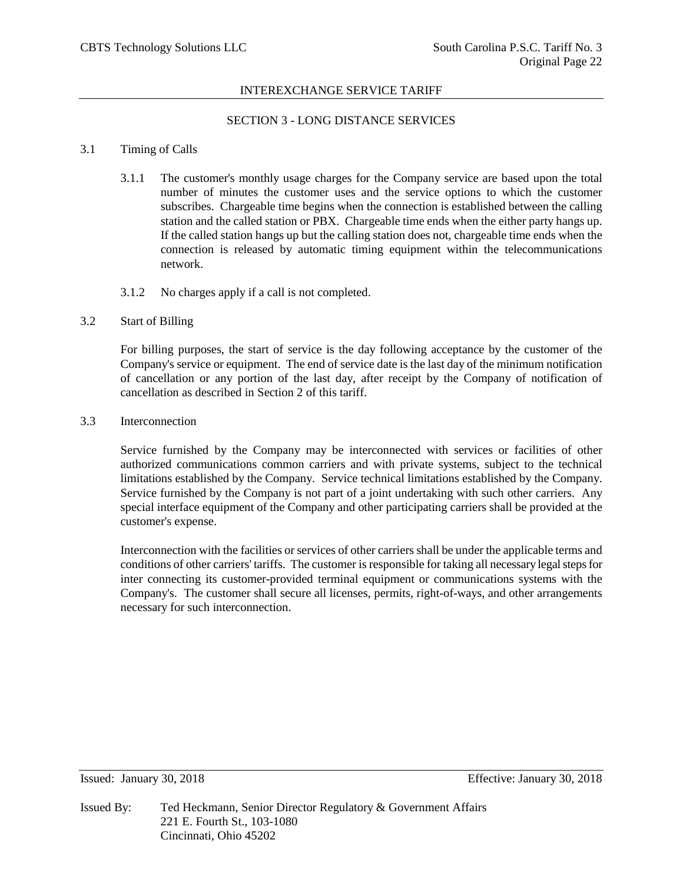# SECTION 3 - LONG DISTANCE SERVICES

## 3.1 Timing of Calls

- 3.1.1 The customer's monthly usage charges for the Company service are based upon the total number of minutes the customer uses and the service options to which the customer subscribes. Chargeable time begins when the connection is established between the calling station and the called station or PBX. Chargeable time ends when the either party hangs up. If the called station hangs up but the calling station does not, chargeable time ends when the connection is released by automatic timing equipment within the telecommunications network.
- 3.1.2 No charges apply if a call is not completed.

## 3.2 Start of Billing

For billing purposes, the start of service is the day following acceptance by the customer of the Company's service or equipment. The end of service date is the last day of the minimum notification of cancellation or any portion of the last day, after receipt by the Company of notification of cancellation as described in Section 2 of this tariff.

3.3 Interconnection

Service furnished by the Company may be interconnected with services or facilities of other authorized communications common carriers and with private systems, subject to the technical limitations established by the Company. Service technical limitations established by the Company. Service furnished by the Company is not part of a joint undertaking with such other carriers. Any special interface equipment of the Company and other participating carriers shall be provided at the customer's expense.

Interconnection with the facilities or services of other carriers shall be under the applicable terms and conditions of other carriers' tariffs. The customer is responsible for taking all necessary legal steps for inter connecting its customer-provided terminal equipment or communications systems with the Company's. The customer shall secure all licenses, permits, right-of-ways, and other arrangements necessary for such interconnection.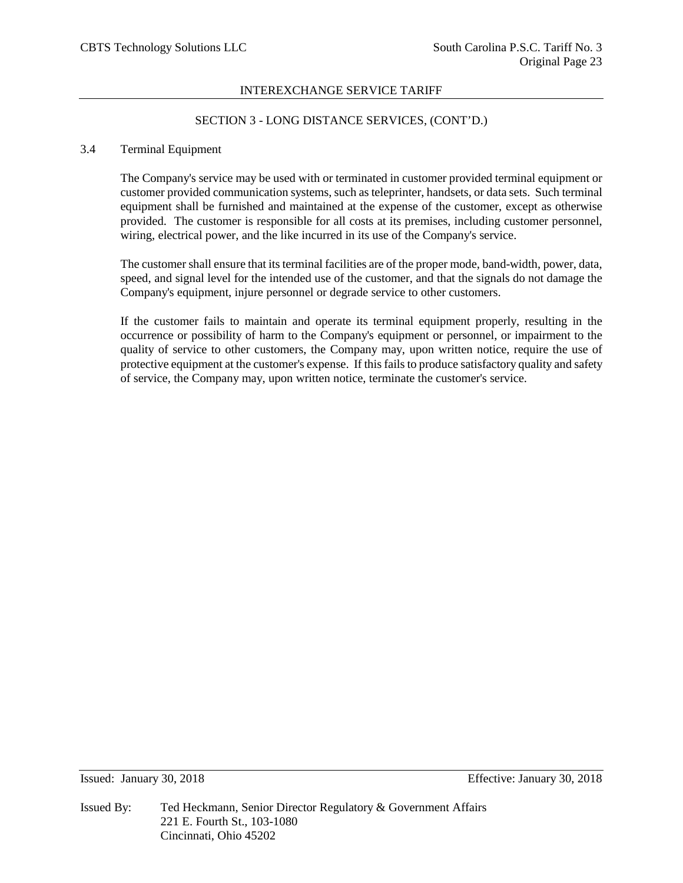# SECTION 3 - LONG DISTANCE SERVICES, (CONT'D.)

## 3.4 Terminal Equipment

The Company's service may be used with or terminated in customer provided terminal equipment or customer provided communication systems, such as teleprinter, handsets, or data sets. Such terminal equipment shall be furnished and maintained at the expense of the customer, except as otherwise provided. The customer is responsible for all costs at its premises, including customer personnel, wiring, electrical power, and the like incurred in its use of the Company's service.

The customer shall ensure that its terminal facilities are of the proper mode, band-width, power, data, speed, and signal level for the intended use of the customer, and that the signals do not damage the Company's equipment, injure personnel or degrade service to other customers.

If the customer fails to maintain and operate its terminal equipment properly, resulting in the occurrence or possibility of harm to the Company's equipment or personnel, or impairment to the quality of service to other customers, the Company may, upon written notice, require the use of protective equipment at the customer's expense. If this fails to produce satisfactory quality and safety of service, the Company may, upon written notice, terminate the customer's service.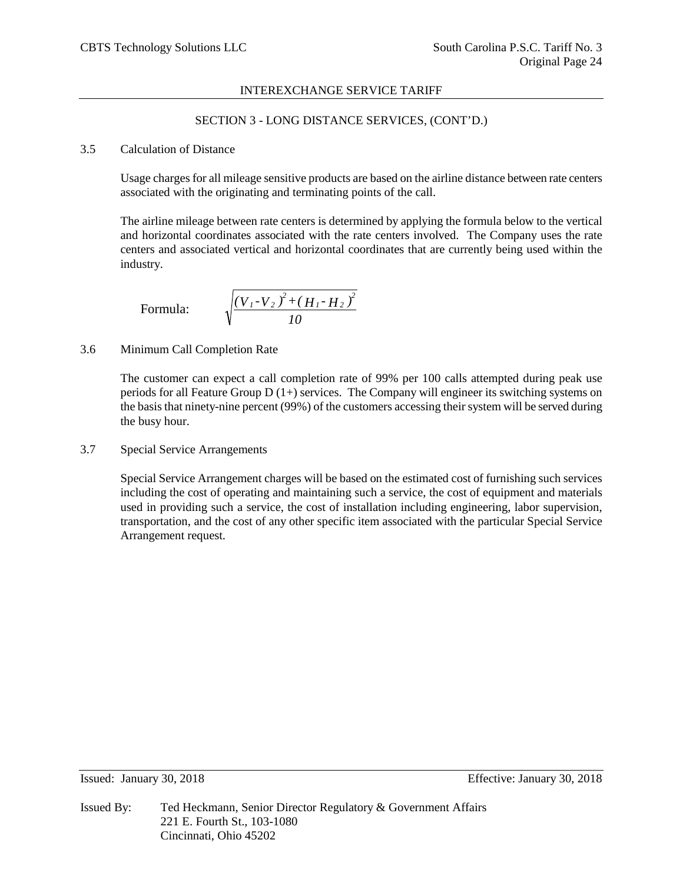# SECTION 3 - LONG DISTANCE SERVICES, (CONT'D.)

# 3.5 Calculation of Distance

Usage charges for all mileage sensitive products are based on the airline distance between rate centers associated with the originating and terminating points of the call.

The airline mileage between rate centers is determined by applying the formula below to the vertical and horizontal coordinates associated with the rate centers involved. The Company uses the rate centers and associated vertical and horizontal coordinates that are currently being used within the industry.

Formula:

$$
\sqrt{\frac{(V_{1}-V_{2})^{2}+(H_{1}-H_{2})^{2}}{10}}
$$

# 3.6 Minimum Call Completion Rate

The customer can expect a call completion rate of 99% per 100 calls attempted during peak use periods for all Feature Group D (1+) services. The Company will engineer its switching systems on the basis that ninety-nine percent (99%) of the customers accessing their system will be served during the busy hour.

3.7 Special Service Arrangements

Special Service Arrangement charges will be based on the estimated cost of furnishing such services including the cost of operating and maintaining such a service, the cost of equipment and materials used in providing such a service, the cost of installation including engineering, labor supervision, transportation, and the cost of any other specific item associated with the particular Special Service Arrangement request.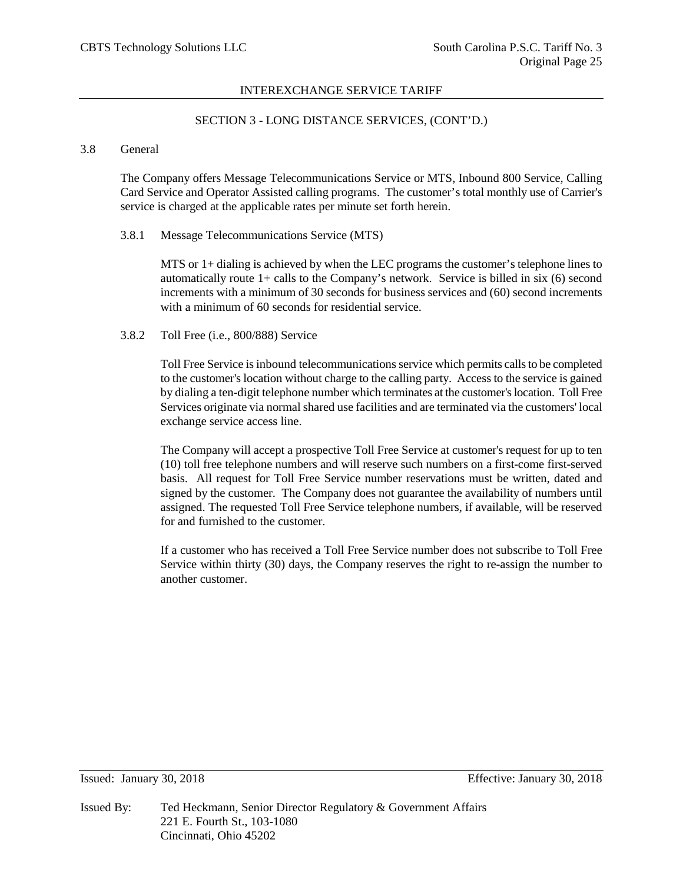# SECTION 3 - LONG DISTANCE SERVICES, (CONT'D.)

# 3.8 General

The Company offers Message Telecommunications Service or MTS, Inbound 800 Service, Calling Card Service and Operator Assisted calling programs. The customer's total monthly use of Carrier's service is charged at the applicable rates per minute set forth herein.

## 3.8.1 Message Telecommunications Service (MTS)

MTS or 1+ dialing is achieved by when the LEC programs the customer's telephone lines to automatically route  $1+$  calls to the Company's network. Service is billed in six (6) second increments with a minimum of 30 seconds for business services and (60) second increments with a minimum of 60 seconds for residential service.

# 3.8.2 Toll Free (i.e., 800/888) Service

Toll Free Service is inbound telecommunications service which permits calls to be completed to the customer's location without charge to the calling party. Access to the service is gained by dialing a ten-digit telephone number which terminates at the customer's location. Toll Free Services originate via normal shared use facilities and are terminated via the customers' local exchange service access line.

The Company will accept a prospective Toll Free Service at customer's request for up to ten (10) toll free telephone numbers and will reserve such numbers on a first-come first-served basis. All request for Toll Free Service number reservations must be written, dated and signed by the customer. The Company does not guarantee the availability of numbers until assigned. The requested Toll Free Service telephone numbers, if available, will be reserved for and furnished to the customer.

If a customer who has received a Toll Free Service number does not subscribe to Toll Free Service within thirty (30) days, the Company reserves the right to re-assign the number to another customer.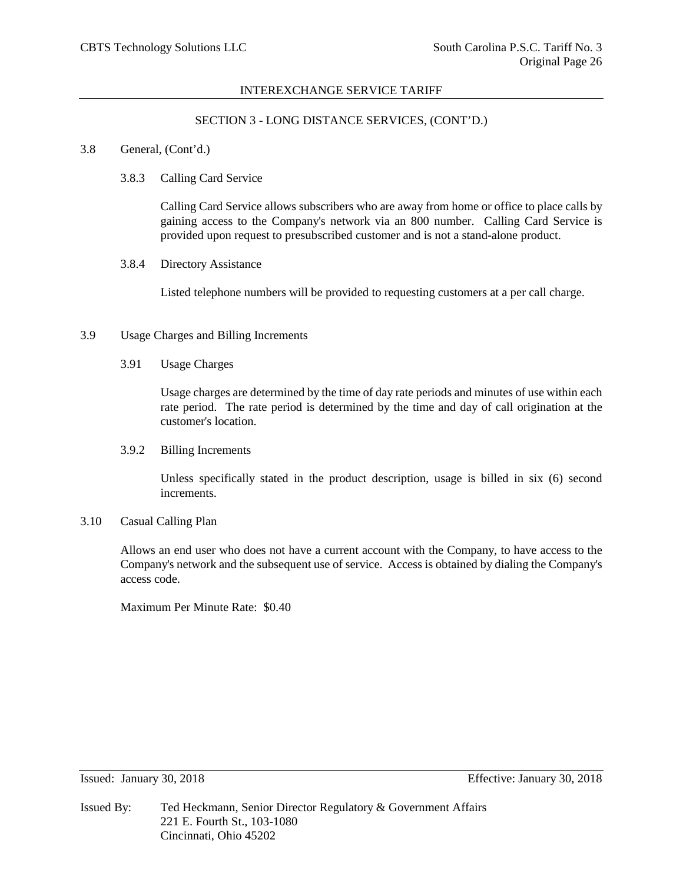## SECTION 3 - LONG DISTANCE SERVICES, (CONT'D.)

#### 3.8 General, (Cont'd.)

## 3.8.3 Calling Card Service

Calling Card Service allows subscribers who are away from home or office to place calls by gaining access to the Company's network via an 800 number. Calling Card Service is provided upon request to presubscribed customer and is not a stand-alone product.

## 3.8.4 Directory Assistance

Listed telephone numbers will be provided to requesting customers at a per call charge.

## 3.9 Usage Charges and Billing Increments

3.91 Usage Charges

Usage charges are determined by the time of day rate periods and minutes of use within each rate period. The rate period is determined by the time and day of call origination at the customer's location.

#### 3.9.2 Billing Increments

Unless specifically stated in the product description, usage is billed in six (6) second increments.

# 3.10 Casual Calling Plan

Allows an end user who does not have a current account with the Company, to have access to the Company's network and the subsequent use of service. Access is obtained by dialing the Company's access code.

Maximum Per Minute Rate: \$0.40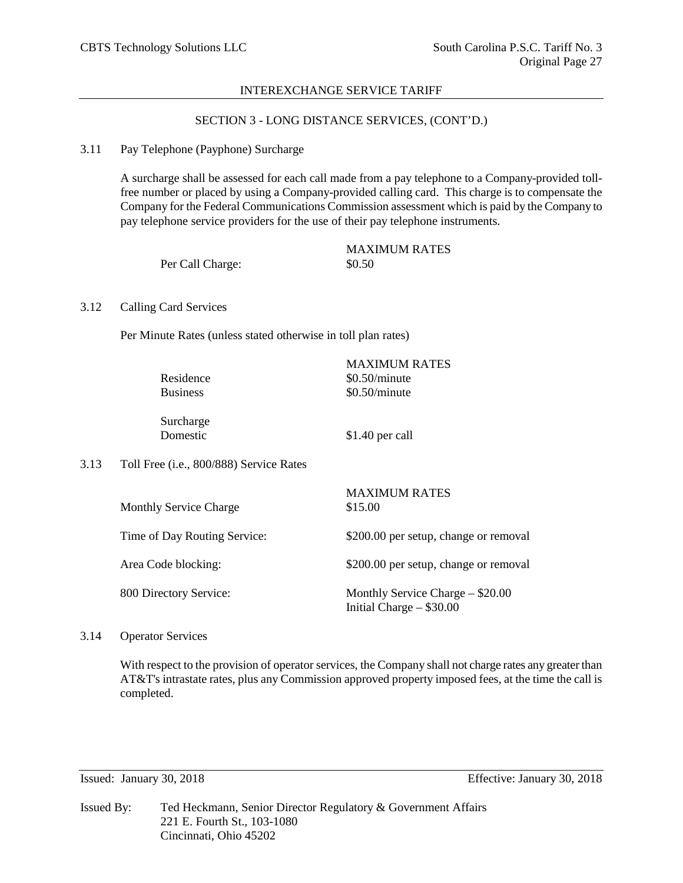# SECTION 3 - LONG DISTANCE SERVICES, (CONT'D.)

## 3.11 Pay Telephone (Payphone) Surcharge

A surcharge shall be assessed for each call made from a pay telephone to a Company-provided tollfree number or placed by using a Company-provided calling card. This charge is to compensate the Company for the Federal Communications Commission assessment which is paid by the Company to pay telephone service providers for the use of their pay telephone instruments.

|                  | <b>MAXIMUM RATES</b> |
|------------------|----------------------|
| Per Call Charge: | \$0.50               |

## 3.12 Calling Card Services

Per Minute Rates (unless stated otherwise in toll plan rates)

| Residence<br><b>Business</b>                   | <b>MAXIMUM RATES</b><br>$$0.50/m$ inute<br>$$0.50/m$ inute |
|------------------------------------------------|------------------------------------------------------------|
| Surcharge<br>Domestic                          | $$1.40$ per call                                           |
| $\alpha$ (i.e., $\Omega$ 00/888) Service Rates |                                                            |

| 3.13 |  |  | Toll Free (i.e., 800/888) Service Rates |
|------|--|--|-----------------------------------------|
|------|--|--|-----------------------------------------|

| <b>Monthly Service Charge</b> | <b>MAXIMUM RATES</b><br>\$15.00                                  |
|-------------------------------|------------------------------------------------------------------|
| Time of Day Routing Service:  | \$200.00 per setup, change or removal                            |
| Area Code blocking:           | \$200.00 per setup, change or removal                            |
| 800 Directory Service:        | Monthly Service Charge $-$ \$20.00<br>Initial Charge $-$ \$30.00 |

# 3.14 Operator Services

With respect to the provision of operator services, the Company shall not charge rates any greater than AT&T's intrastate rates, plus any Commission approved property imposed fees, at the time the call is completed.

Issued: January 30, 2018 Effective: January 30, 2018

Issued By: Ted Heckmann, Senior Director Regulatory & Government Affairs 221 E. Fourth St., 103-1080 Cincinnati, Ohio 45202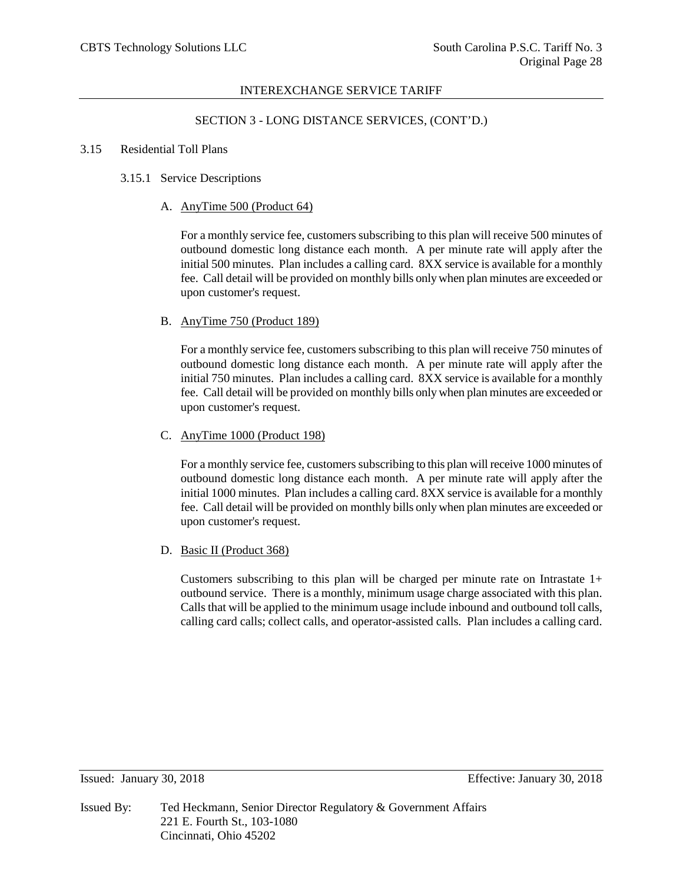## SECTION 3 - LONG DISTANCE SERVICES, (CONT'D.)

#### 3.15 Residential Toll Plans

## 3.15.1 Service Descriptions

## A. AnyTime 500 (Product 64)

For a monthly service fee, customers subscribing to this plan will receive 500 minutes of outbound domestic long distance each month. A per minute rate will apply after the initial 500 minutes. Plan includes a calling card. 8XX service is available for a monthly fee. Call detail will be provided on monthly bills only when plan minutes are exceeded or upon customer's request.

## B. AnyTime 750 (Product 189)

For a monthly service fee, customers subscribing to this plan will receive 750 minutes of outbound domestic long distance each month. A per minute rate will apply after the initial 750 minutes. Plan includes a calling card. 8XX service is available for a monthly fee. Call detail will be provided on monthly bills only when plan minutes are exceeded or upon customer's request.

# C. AnyTime 1000 (Product 198)

For a monthly service fee, customers subscribing to this plan will receive 1000 minutes of outbound domestic long distance each month. A per minute rate will apply after the initial 1000 minutes. Plan includes a calling card. 8XX service is available for a monthly fee. Call detail will be provided on monthly bills only when plan minutes are exceeded or upon customer's request.

# D. Basic II (Product 368)

Customers subscribing to this plan will be charged per minute rate on Intrastate  $1+$ outbound service. There is a monthly, minimum usage charge associated with this plan. Calls that will be applied to the minimum usage include inbound and outbound toll calls, calling card calls; collect calls, and operator-assisted calls. Plan includes a calling card.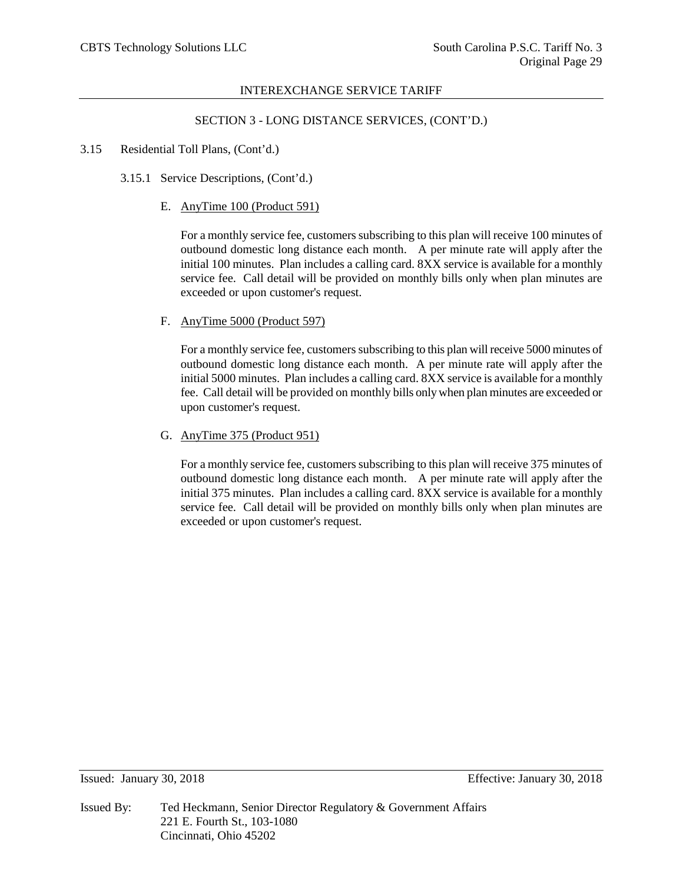## SECTION 3 - LONG DISTANCE SERVICES, (CONT'D.)

- 3.15 Residential Toll Plans, (Cont'd.)
	- 3.15.1 Service Descriptions, (Cont'd.)
		- E. AnyTime 100 (Product 591)

For a monthly service fee, customers subscribing to this plan will receive 100 minutes of outbound domestic long distance each month. A per minute rate will apply after the initial 100 minutes. Plan includes a calling card. 8XX service is available for a monthly service fee. Call detail will be provided on monthly bills only when plan minutes are exceeded or upon customer's request.

F. AnyTime 5000 (Product 597)

For a monthly service fee, customers subscribing to this plan will receive 5000 minutes of outbound domestic long distance each month. A per minute rate will apply after the initial 5000 minutes. Plan includes a calling card. 8XX service is available for a monthly fee. Call detail will be provided on monthly bills only when plan minutes are exceeded or upon customer's request.

G. AnyTime 375 (Product 951)

For a monthly service fee, customers subscribing to this plan will receive 375 minutes of outbound domestic long distance each month. A per minute rate will apply after the initial 375 minutes. Plan includes a calling card. 8XX service is available for a monthly service fee. Call detail will be provided on monthly bills only when plan minutes are exceeded or upon customer's request.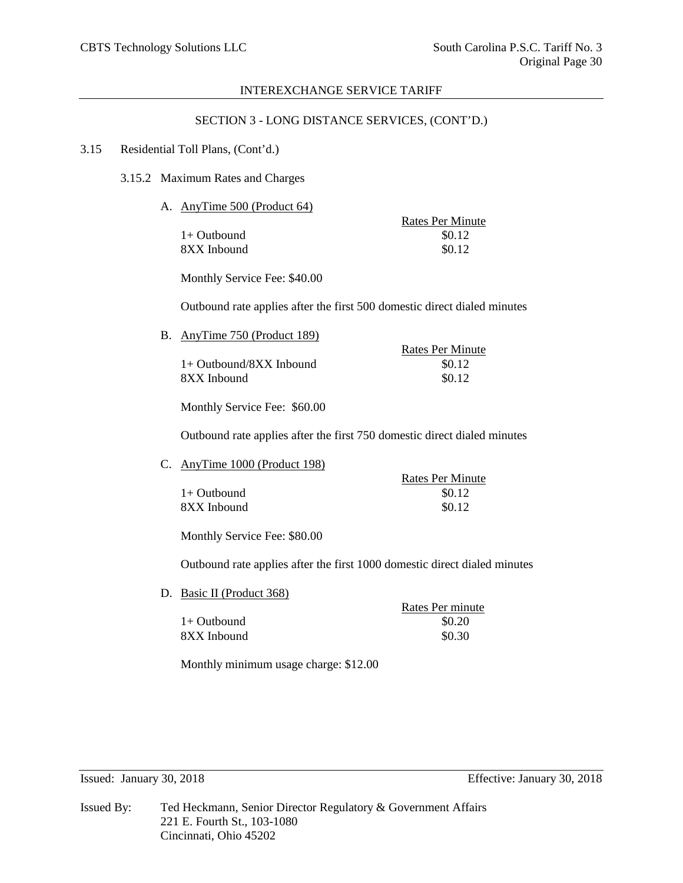## SECTION 3 - LONG DISTANCE SERVICES, (CONT'D.)

#### 3.15 Residential Toll Plans, (Cont'd.)

3.15.2 Maximum Rates and Charges

A. AnyTime 500 (Product 64)

Rates Per Minute  $1+$  Outbound  $$0.12$ 8XX Inbound \$0.12

Monthly Service Fee: \$40.00

Outbound rate applies after the first 500 domestic direct dialed minutes

B. AnyTime 750 (Product 189)

 $1+$  Outbound/8XX Inbound  $$0.12$ 8XX Inbound \$0.12

Rates Per Minute

Monthly Service Fee: \$60.00

Outbound rate applies after the first 750 domestic direct dialed minutes

C. AnyTime 1000 (Product 198)

Rates Per Minute  $1+$  Outbound  $$0.12$  $8XX$  Inbound  $$0.12$ 

Monthly Service Fee: \$80.00

Outbound rate applies after the first 1000 domestic direct dialed minutes

D. Basic II (Product 368)

Rates Per minute  $1+$  Outbound  $$0.20$  $8XX$  Inbound  $$0.30$ 

Monthly minimum usage charge: \$12.00

| Issued By: | Ted Heckmann, Senior Director Regulatory & Government Affairs |
|------------|---------------------------------------------------------------|
|            | 221 E. Fourth St., 103-1080                                   |
|            | Cincinnati, Ohio 45202                                        |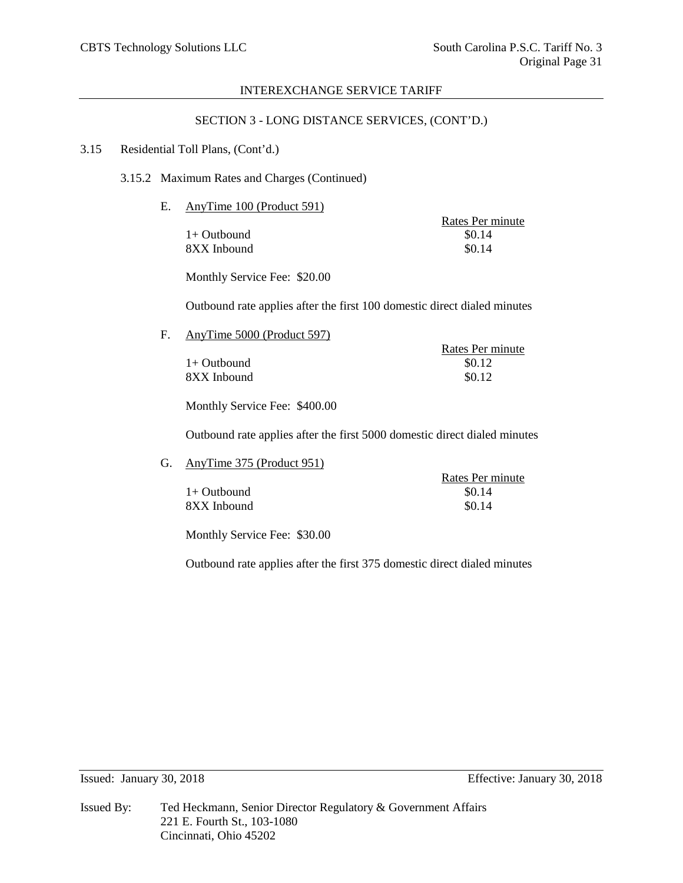## SECTION 3 - LONG DISTANCE SERVICES, (CONT'D.)

## 3.15 Residential Toll Plans, (Cont'd.)

## 3.15.2 Maximum Rates and Charges (Continued)

E. AnyTime 100 (Product 591)

 $1+$  Outbound  $8XX$  Inbound  $80.14$ 

Rates Per minute<br>\$0.14

Monthly Service Fee: \$20.00

Outbound rate applies after the first 100 domestic direct dialed minutes

F. AnyTime 5000 (Product 597)

Rates Per minute  $1+$  Outbound  $$0.12$  $8XX$  Inbound  $80.12$ 

Monthly Service Fee: \$400.00

Outbound rate applies after the first 5000 domestic direct dialed minutes

G. AnyTime 375 (Product 951)

|               | Rates Per minute |
|---------------|------------------|
| $1+$ Outbound | \$0.14           |
| 8XX Inbound   | \$0.14           |

Monthly Service Fee: \$30.00

Outbound rate applies after the first 375 domestic direct dialed minutes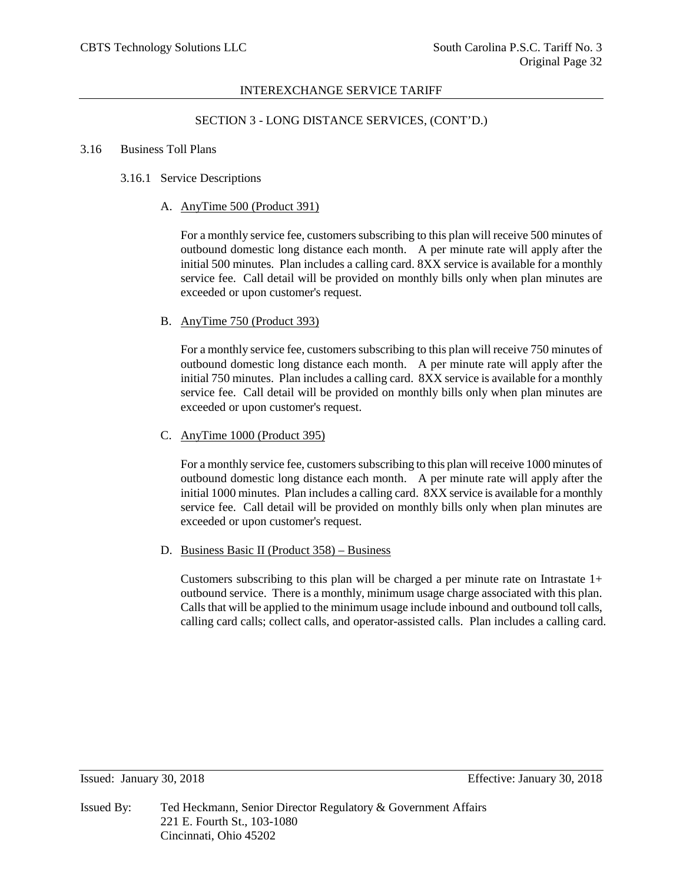## SECTION 3 - LONG DISTANCE SERVICES, (CONT'D.)

#### 3.16 Business Toll Plans

## 3.16.1 Service Descriptions

## A. AnyTime 500 (Product 391)

For a monthly service fee, customers subscribing to this plan will receive 500 minutes of outbound domestic long distance each month. A per minute rate will apply after the initial 500 minutes. Plan includes a calling card. 8XX service is available for a monthly service fee. Call detail will be provided on monthly bills only when plan minutes are exceeded or upon customer's request.

## B. AnyTime 750 (Product 393)

For a monthly service fee, customers subscribing to this plan will receive 750 minutes of outbound domestic long distance each month. A per minute rate will apply after the initial 750 minutes. Plan includes a calling card. 8XX service is available for a monthly service fee. Call detail will be provided on monthly bills only when plan minutes are exceeded or upon customer's request.

# C. AnyTime 1000 (Product 395)

For a monthly service fee, customers subscribing to this plan will receive 1000 minutes of outbound domestic long distance each month. A per minute rate will apply after the initial 1000 minutes. Plan includes a calling card. 8XX service is available for a monthly service fee. Call detail will be provided on monthly bills only when plan minutes are exceeded or upon customer's request.

#### D. Business Basic II (Product 358) – Business

Customers subscribing to this plan will be charged a per minute rate on Intrastate  $1+$ outbound service. There is a monthly, minimum usage charge associated with this plan. Calls that will be applied to the minimum usage include inbound and outbound toll calls, calling card calls; collect calls, and operator-assisted calls. Plan includes a calling card.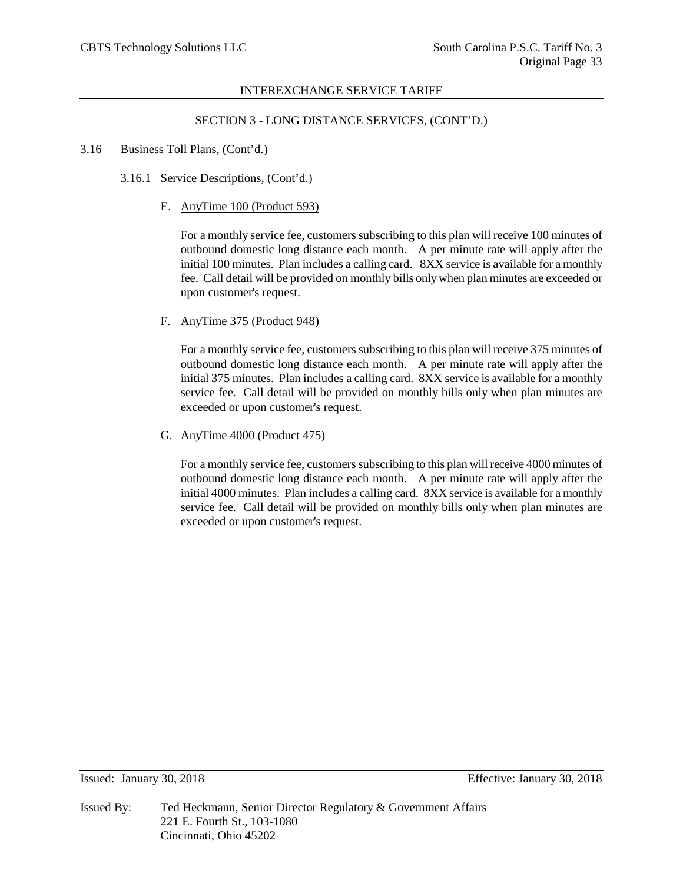## SECTION 3 - LONG DISTANCE SERVICES, (CONT'D.)

- 3.16 Business Toll Plans, (Cont'd.)
	- 3.16.1 Service Descriptions, (Cont'd.)
		- E. AnyTime 100 (Product 593)

For a monthly service fee, customers subscribing to this plan will receive 100 minutes of outbound domestic long distance each month. A per minute rate will apply after the initial 100 minutes. Plan includes a calling card. 8XX service is available for a monthly fee. Call detail will be provided on monthly bills only when plan minutes are exceeded or upon customer's request.

## F. AnyTime 375 (Product 948)

For a monthly service fee, customers subscribing to this plan will receive 375 minutes of outbound domestic long distance each month. A per minute rate will apply after the initial 375 minutes. Plan includes a calling card. 8XX service is available for a monthly service fee. Call detail will be provided on monthly bills only when plan minutes are exceeded or upon customer's request.

G. AnyTime 4000 (Product 475)

For a monthly service fee, customers subscribing to this plan will receive 4000 minutes of outbound domestic long distance each month. A per minute rate will apply after the initial 4000 minutes. Plan includes a calling card. 8XX service is available for a monthly service fee. Call detail will be provided on monthly bills only when plan minutes are exceeded or upon customer's request.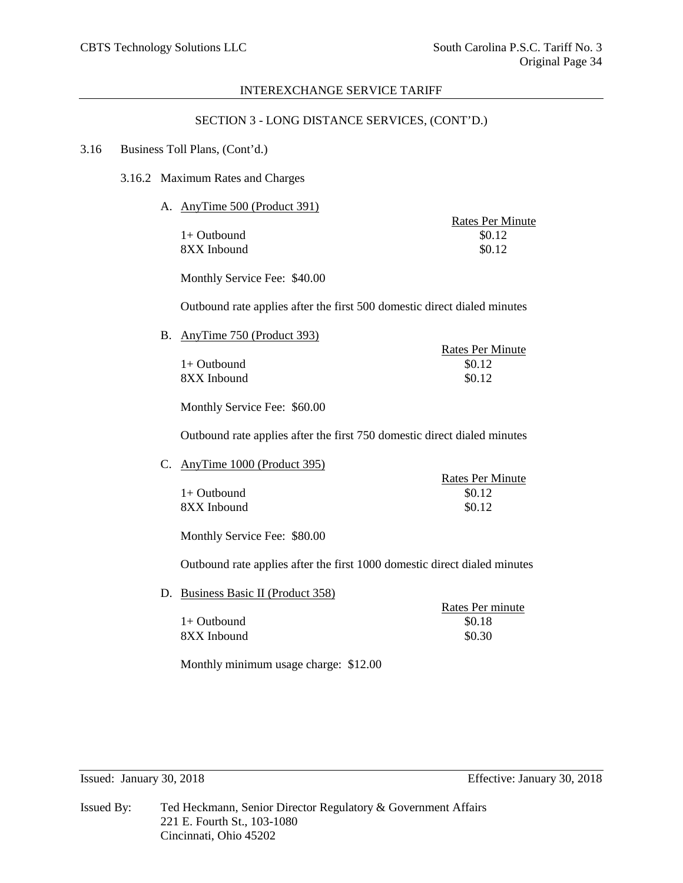## SECTION 3 - LONG DISTANCE SERVICES, (CONT'D.)

#### 3.16 Business Toll Plans, (Cont'd.)

3.16.2 Maximum Rates and Charges

A. AnyTime 500 (Product 391)

 $1+$  Outbound  $$0.12$ 8XX Inbound \$0.12

Rates Per Minute

Monthly Service Fee: \$40.00

Outbound rate applies after the first 500 domestic direct dialed minutes

B. AnyTime 750 (Product 393)

Rates Per Minute  $1+$  Outbound  $$0.12$  $8XX$  Inbound  $$0.12$ 

Monthly Service Fee: \$60.00

Outbound rate applies after the first 750 domestic direct dialed minutes

C. AnyTime 1000 (Product 395)

|               | <b>Rates Per Minute</b> |
|---------------|-------------------------|
| $1+$ Outbound | \$0.12                  |
| 8XX Inbound   | \$0.12                  |

Monthly Service Fee: \$80.00

Outbound rate applies after the first 1000 domestic direct dialed minutes

D. Business Basic II (Product 358)

|               | Rates Per minute |
|---------------|------------------|
| $1+$ Outbound | \$0.18           |
| 8XX Inbound   | \$0.30           |

Monthly minimum usage charge: \$12.00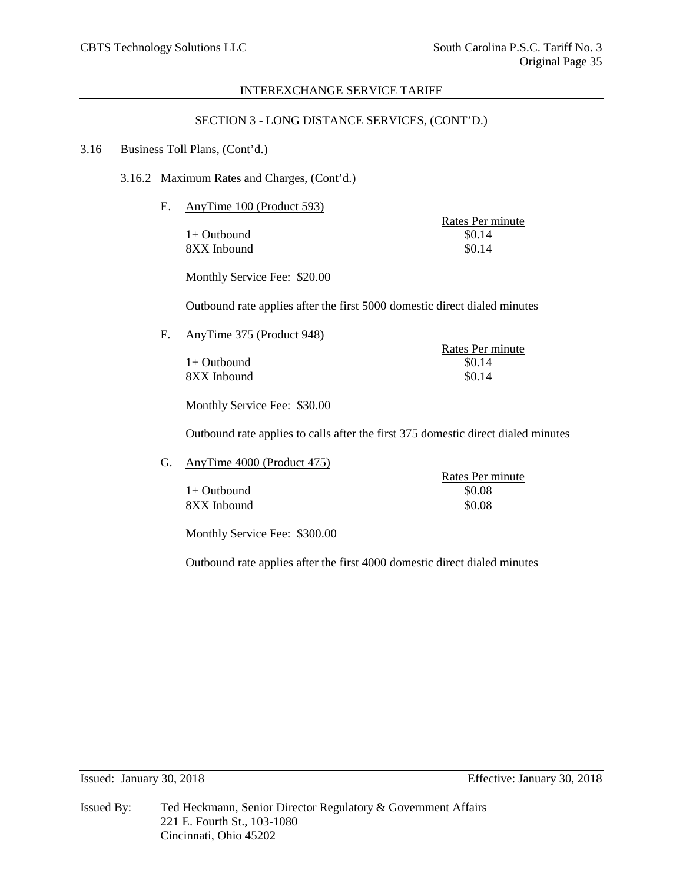## SECTION 3 - LONG DISTANCE SERVICES, (CONT'D.)

#### 3.16 Business Toll Plans, (Cont'd.)

3.16.2 Maximum Rates and Charges, (Cont'd.)

E. AnyTime 100 (Product 593)

 $1+$  Outbound 8XX Inbound \$0.14

Rates Per minute<br>\$0.14

Monthly Service Fee: \$20.00

Outbound rate applies after the first 5000 domestic direct dialed minutes

F. AnyTime 375 (Product 948)

 $1+$  Outbound  $8XX$  Inbound  $80.14$ 

Rates Per minute<br>\$0.14

Monthly Service Fee: \$30.00

Outbound rate applies to calls after the first 375 domestic direct dialed minutes

G. AnyTime 4000 (Product 475)

|             | Rates Per minute |
|-------------|------------------|
| 1+ Outbound | \$0.08           |
| 8XX Inbound | \$0.08           |

Monthly Service Fee: \$300.00

Outbound rate applies after the first 4000 domestic direct dialed minutes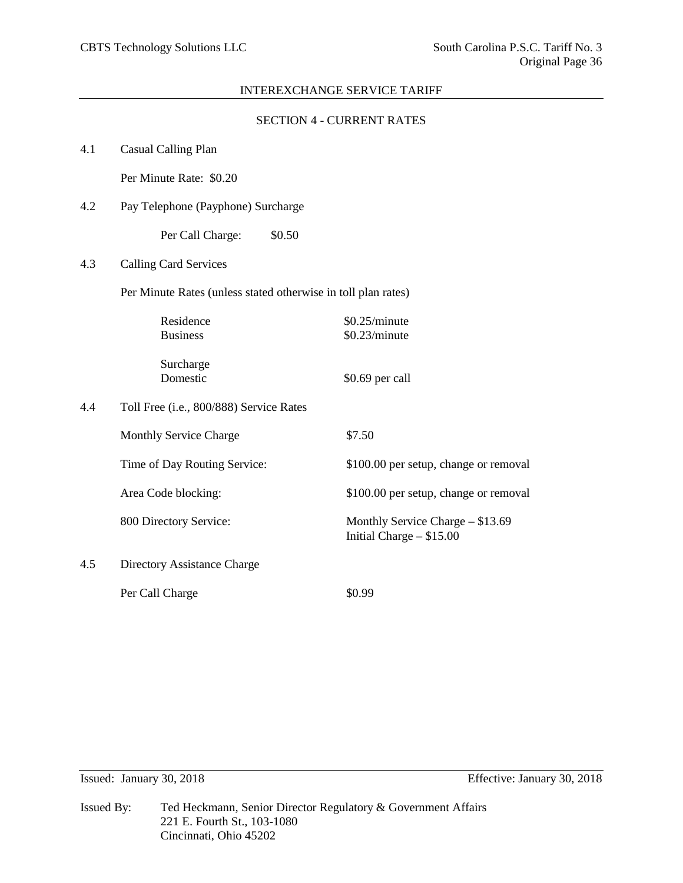|     |                                                               | <b>SECTION 4 - CURRENT RATES</b>                               |
|-----|---------------------------------------------------------------|----------------------------------------------------------------|
| 4.1 | <b>Casual Calling Plan</b>                                    |                                                                |
|     | Per Minute Rate: \$0.20                                       |                                                                |
| 4.2 | Pay Telephone (Payphone) Surcharge                            |                                                                |
|     | Per Call Charge:<br>\$0.50                                    |                                                                |
| 4.3 | <b>Calling Card Services</b>                                  |                                                                |
|     | Per Minute Rates (unless stated otherwise in toll plan rates) |                                                                |
|     | Residence<br><b>Business</b>                                  | \$0.25/minute<br>\$0.23/minute                                 |
|     | Surcharge<br>Domestic                                         | \$0.69 per call                                                |
| 4.4 | Toll Free (i.e., 800/888) Service Rates                       |                                                                |
|     | <b>Monthly Service Charge</b>                                 | \$7.50                                                         |
|     | Time of Day Routing Service:                                  | \$100.00 per setup, change or removal                          |
|     | Area Code blocking:                                           | \$100.00 per setup, change or removal                          |
|     | 800 Directory Service:                                        | Monthly Service Charge - \$13.69<br>Initial Charge $-$ \$15.00 |
| 4.5 | Directory Assistance Charge                                   |                                                                |
|     | Per Call Charge                                               | \$0.99                                                         |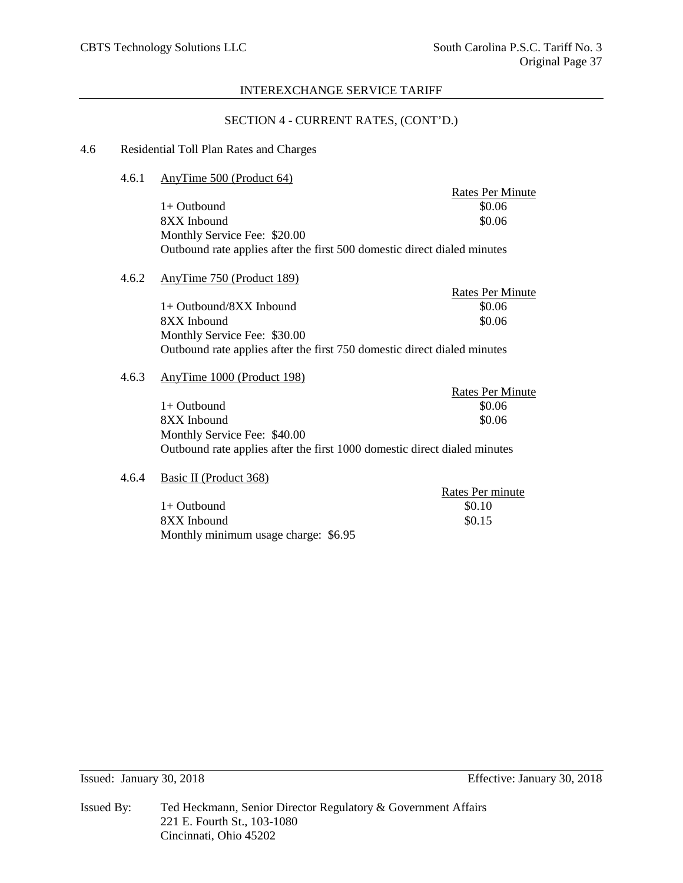## SECTION 4 - CURRENT RATES, (CONT'D.)

## 4.6 Residential Toll Plan Rates and Charges

| 4.6.1 | AnyTime 500 (Product 64) |
|-------|--------------------------|
|       |                          |

Rates Per Minute  $1+$  Outbound  $$0.06$ 8XX Inbound \$0.06 Monthly Service Fee: \$20.00 Outbound rate applies after the first 500 domestic direct dialed minutes

## 4.6.2 AnyTime 750 (Product 189)

|                                                                          | Rates Per Minute |
|--------------------------------------------------------------------------|------------------|
| $1+$ Outbound/8XX Inbound                                                | \$0.06           |
| 8XX Inbound                                                              | \$0.06           |
| Monthly Service Fee: \$30.00                                             |                  |
| Outbound rate applies after the first 750 domestic direct dialed minutes |                  |

## 4.6.3 AnyTime 1000 (Product 198)

|                                                                           | Rates Per Minute |
|---------------------------------------------------------------------------|------------------|
| $1+$ Outbound                                                             | \$0.06           |
| 8XX Inbound                                                               | \$0.06           |
| Monthly Service Fee: \$40.00                                              |                  |
| Outbound rate applies after the first 1000 domestic direct dialed minutes |                  |

## 4.6.4 Basic II (Product 368)

|                                      | Rates Per minute |
|--------------------------------------|------------------|
| $1+$ Outbound                        | \$0.10           |
| 8XX Inbound                          | \$0.15           |
| Monthly minimum usage charge: \$6.95 |                  |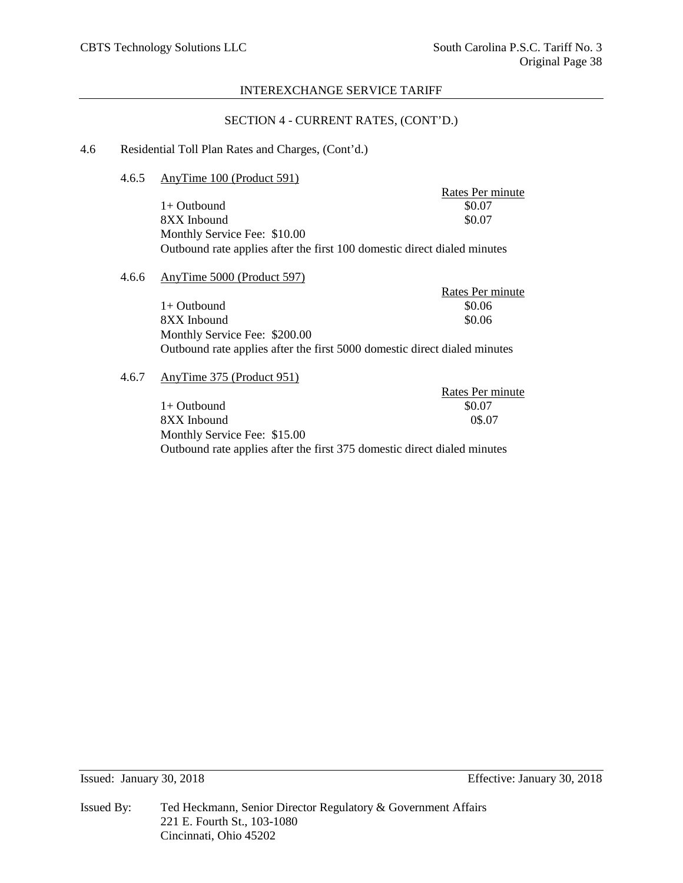## SECTION 4 - CURRENT RATES, (CONT'D.)

## 4.6 Residential Toll Plan Rates and Charges, (Cont'd.)

## 4.6.5 AnyTime 100 (Product 591)

Rates Per minute  $1+$  Outbound  $$0.07$ 8XX Inbound \$0.07 Monthly Service Fee: \$10.00 Outbound rate applies after the first 100 domestic direct dialed minutes

## 4.6.6 AnyTime 5000 (Product 597)

|                                                                           | Rates Per minute |
|---------------------------------------------------------------------------|------------------|
| $1+$ Outbound                                                             | \$0.06           |
| 8XX Inbound                                                               | \$0.06           |
| Monthly Service Fee: \$200.00                                             |                  |
| Outbound rate applies after the first 5000 domestic direct dialed minutes |                  |

# 4.6.7 AnyTime 375 (Product 951)

| $A$ lly Fillie $3/3$ (Figure $3/1$ )                                     |                  |
|--------------------------------------------------------------------------|------------------|
|                                                                          | Rates Per minute |
| $1+$ Outbound                                                            | \$0.07           |
| 8XX Inbound                                                              | 0\$.07           |
| Monthly Service Fee: \$15.00                                             |                  |
| Outbound rate applies after the first 375 domestic direct dialed minutes |                  |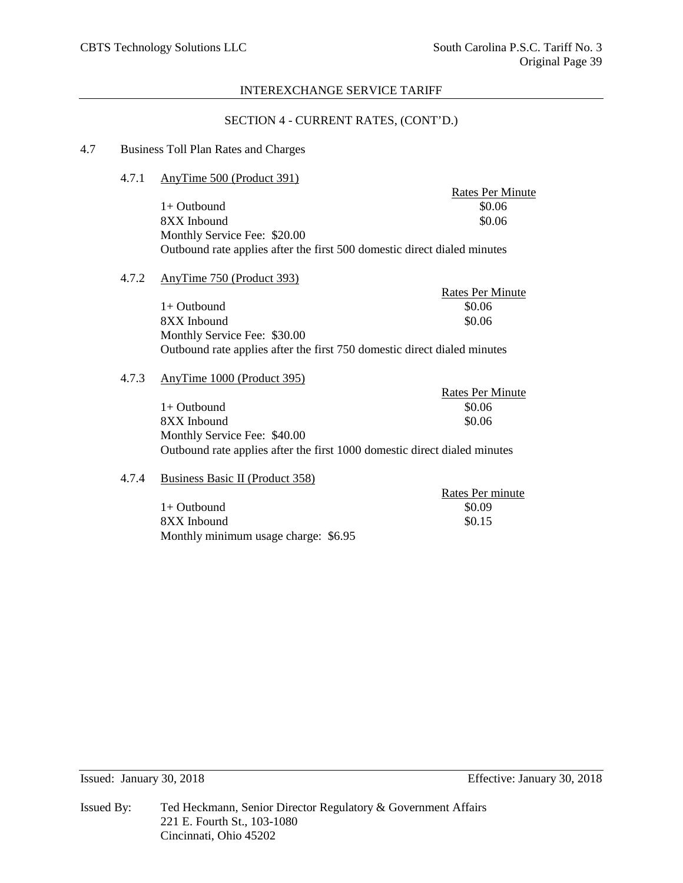## SECTION 4 - CURRENT RATES, (CONT'D.)

# 4.7 Business Toll Plan Rates and Charges

#### 4.7.1 AnyTime 500 (Product 391)

Rates Per Minute 1+ Outbound \$0.06<br>8XX Inbound \$0.06 8XX Inbound Monthly Service Fee: \$20.00 Outbound rate applies after the first 500 domestic direct dialed minutes

#### 4.7.2 AnyTime 750 (Product 393)

|                                                                          | Rates Per Minute |
|--------------------------------------------------------------------------|------------------|
| $1+$ Outbound                                                            | \$0.06           |
| 8XX Inbound                                                              | \$0.06           |
| Monthly Service Fee: \$30.00                                             |                  |
| Outbound rate applies after the first 750 domestic direct dialed minutes |                  |

#### 4.7.3 AnyTime 1000 (Product 395)

| AnyTime 1000 (Product 395)                                                |                  |
|---------------------------------------------------------------------------|------------------|
|                                                                           | Rates Per Minute |
| $1+$ Outbound                                                             | \$0.06           |
| 8XX Inbound                                                               | \$0.06           |
| Monthly Service Fee: \$40.00                                              |                  |
| Outbound rate applies after the first 1000 domestic direct dialed minutes |                  |

# 4.7.4 Business Basic II (Product 358)

| Dusiness Dusie II (1 Touget 550)     |                  |
|--------------------------------------|------------------|
|                                      | Rates Per minute |
| 1+ Outbound                          | \$0.09           |
| 8XX Inbound                          | \$0.15           |
| Monthly minimum usage charge: \$6.95 |                  |